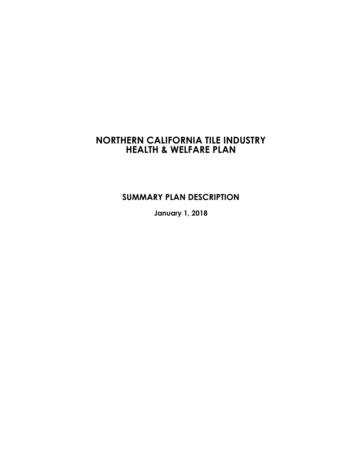# **NORTHERN CALIFORNIA TILE INDUSTRY HEALTH & WELFARE PLAN**

**SUMMARY PLAN DESCRIPTION**

**January 1, 2018**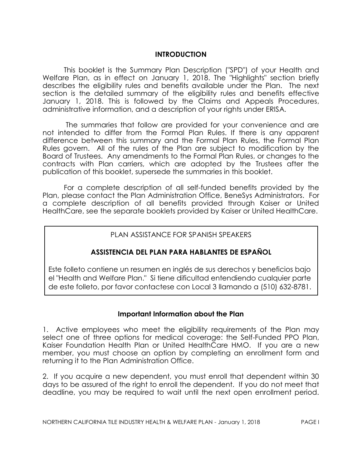#### **INTRODUCTION**

This booklet is the Summary Plan Description ("SPD") of your Health and Welfare Plan, as in effect on January 1, 2018. The "Highlights" section briefly describes the eligibility rules and benefits available under the Plan. The next section is the detailed summary of the eligibility rules and benefits effective January 1, 2018. This is followed by the Claims and Appeals Procedures, administrative information, and a description of your rights under ERISA.

The summaries that follow are provided for your convenience and are not intended to differ from the Formal Plan Rules. If there is any apparent difference between this summary and the Formal Plan Rules, the Formal Plan Rules govern. All of the rules of the Plan are subject to modification by the Board of Trustees. Any amendments to the Formal Plan Rules, or changes to the contracts with Plan carriers, which are adopted by the Trustees after the publication of this booklet, supersede the summaries in this booklet.

For a complete description of all self-funded benefits provided by the Plan, please contact the Plan Administration Office, BeneSys Administrators. For a complete description of all benefits provided through Kaiser or United HealthCare, see the separate booklets provided by Kaiser or United HealthCare.

#### PLAN ASSISTANCE FOR SPANISH SPEAKERS

#### **ASSISTENCIA DEL PLAN PARA HABLANTES DE ESPAÑOL**

Este folleto contiene un resumen en inglés de sus derechos y beneficios bajo el "Health and Welfare Plan." Si tiene dificultad entendiendo cualquier parte de este folleto, por favor contactese con Local 3 llamando a (510) 632-8781.

#### **Important Information about the Plan**

1. Active employees who meet the eligibility requirements of the Plan may select one of three options for medical coverage: the Self-Funded PPO Plan, Kaiser Foundation Health Plan or United HealthCare HMO. If you are a new member, you must choose an option by completing an enrollment form and returning it to the Plan Administration Office.

2. If you acquire a new dependent, you must enroll that dependent within 30 days to be assured of the right to enroll the dependent. If you do not meet that deadline, you may be required to wait until the next open enrollment period.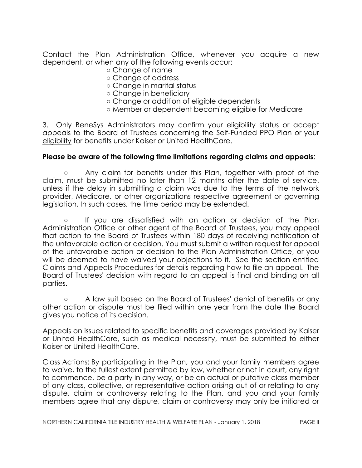Contact the Plan Administration Office, whenever you acquire a new dependent, or when any of the following events occur:

- Change of name
- Change of address
- Change in marital status
- Change in beneficiary
- Change or addition of eligible dependents
- Member or dependent becoming eligible for Medicare

3. Only BeneSys Administrators may confirm your eligibility status or accept appeals to the Board of Trustees concerning the Self-Funded PPO Plan or your eligibility for benefits under Kaiser or United HealthCare.

#### **Please be aware of the following time limitations regarding claims and appeals**:

Any claim for benefits under this Plan, together with proof of the claim, must be submitted no later than 12 months after the date of service, unless if the delay in submitting a claim was due to the terms of the network provider, Medicare, or other organizations respective agreement or governing legislation. In such cases, the time period may be extended.

If you are dissatisfied with an action or decision of the Plan Administration Office or other agent of the Board of Trustees, you may appeal that action to the Board of Trustees within 180 days of receiving notification of the unfavorable action or decision. You must submit a written request for appeal of the unfavorable action or decision to the Plan Administration Office, or you will be deemed to have waived your objections to it. See the section entitled Claims and Appeals Procedures for details regarding how to file an appeal. The Board of Trustees' decision with regard to an appeal is final and binding on all parties.

A law suit based on the Board of Trustees' denial of benefits or any other action or dispute must be filed within one year from the date the Board gives you notice of its decision.

Appeals on issues related to specific benefits and coverages provided by Kaiser or United HealthCare, such as medical necessity, must be submitted to either Kaiser or United HealthCare.

Class Actions: By participating in the Plan, you and your family members agree to waive, to the fullest extent permitted by law, whether or not in court, any right to commence, be a party in any way, or be an actual or putative class member of any class, collective, or representative action arising out of or relating to any dispute, claim or controversy relating to the Plan, and you and your family members agree that any dispute, claim or controversy may only be initiated or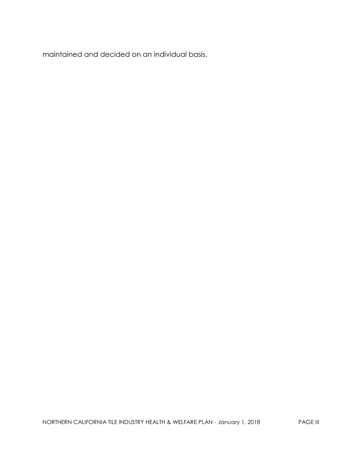maintained and decided on an individual basis.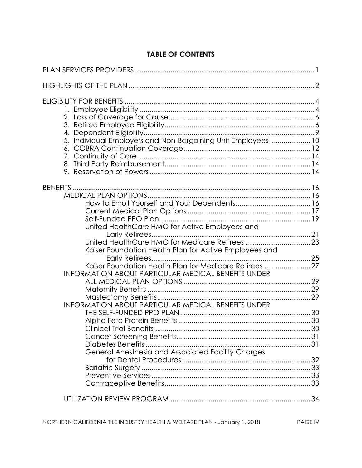# **TABLE OF CONTENTS**

| 5. Individual Employers and Non-Bargaining Unit Employees  10                                                                                                                                                                                                                                                      |  |
|--------------------------------------------------------------------------------------------------------------------------------------------------------------------------------------------------------------------------------------------------------------------------------------------------------------------|--|
| <b>BENEFITS</b><br>United HealthCare HMO for Active Employees and<br>Kaiser Foundation Health Plan for Active Employees and<br>Kaiser Foundation Health Plan for Medicare Retirees  27<br><b>INFORMATION ABOUT PARTICULAR MEDICAL BENEFITS UNDER</b><br><b>INFORMATION ABOUT PARTICULAR MEDICAL BENEFITS UNDER</b> |  |
| General Anesthesia and Associated Facility Charges                                                                                                                                                                                                                                                                 |  |
|                                                                                                                                                                                                                                                                                                                    |  |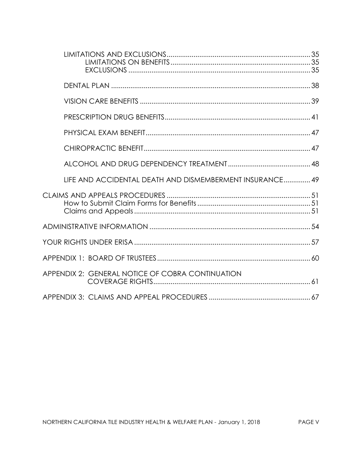| LIFE AND ACCIDENTAL DEATH AND DISMEMBERMENT INSURANCE 49 |
|----------------------------------------------------------|
|                                                          |
|                                                          |
|                                                          |
|                                                          |
| APPENDIX 2: GENERAL NOTICE OF COBRA CONTINUATION         |
|                                                          |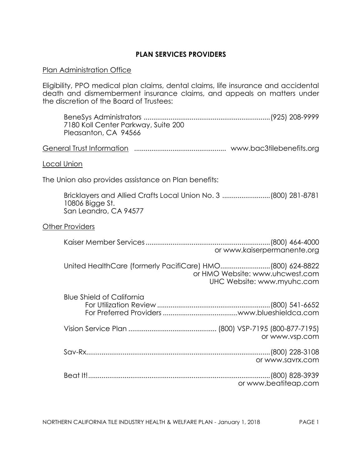### **PLAN SERVICES PROVIDERS**

#### Plan Administration Office

Eligibility, PPO medical plan claims, dental claims, life insurance and accidental death and dismemberment insurance claims, and appeals on matters under the discretion of the Board of Trustees:

BeneSys Administrators ..................................................................(925) 208-9999 7180 Koll Center Parkway, Suite 200 Pleasanton, CA 94566

General Trust Information ................................................ www.bac3tilebenefits.org

#### Local Union

The Union also provides assistance on Plan benefits:

Bricklayers and Allied Crafts Local Union No. 3 .........................(800) 281-8781 10806 Bigge St. San Leandro, CA 94577

#### Other Providers

Kaiser Member Services.................................................................(800) 464-4000 or www.kaiserpermanente.org

United HealthCare (formerly PacifiCare) HMO..........................(800) 624-8822 or HMO Website: www.uhcwest.com UHC Website: www.myuhc.com

| <b>Blue Shield of California</b> |                      |
|----------------------------------|----------------------|
|                                  | or www.vsp.com       |
|                                  | or www.savrx.com     |
|                                  | or www.beatiteap.com |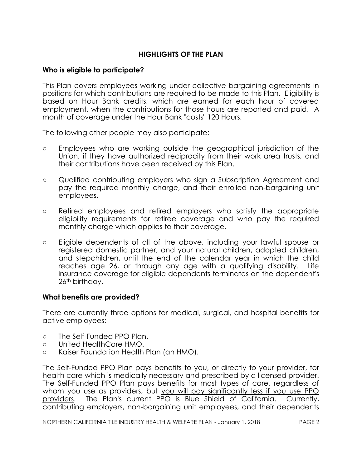## **HIGHLIGHTS OF THE PLAN**

### **Who is eligible to participate?**

This Plan covers employees working under collective bargaining agreements in positions for which contributions are required to be made to this Plan. Eligibility is based on Hour Bank credits, which are earned for each hour of covered employment, when the contributions for those hours are reported and paid. A month of coverage under the Hour Bank "costs" 120 Hours.

The following other people may also participate:

- Employees who are working outside the geographical jurisdiction of the Union, if they have authorized reciprocity from their work area trusts, and their contributions have been received by this Plan.
- Qualified contributing employers who sign a Subscription Agreement and pay the required monthly charge, and their enrolled non-bargaining unit employees.
- Retired employees and retired employers who satisfy the appropriate eligibility requirements for retiree coverage and who pay the required monthly charge which applies to their coverage.
- Eligible dependents of all of the above, including your lawful spouse or registered domestic partner, and your natural children, adopted children, and stepchildren, until the end of the calendar year in which the child reaches age 26, or through any age with a qualifying disability. Life insurance coverage for eligible dependents terminates on the dependent's 26<sup>th</sup> birthday.

#### **What benefits are provided?**

There are currently three options for medical, surgical, and hospital benefits for active employees:

- The Self-Funded PPO Plan.
- United HealthCare HMO.
- Kaiser Foundation Health Plan (an HMO).

The Self-Funded PPO Plan pays benefits to you, or directly to your provider, for health care which is medically necessary and prescribed by a licensed provider. The Self-Funded PPO Plan pays benefits for most types of care, regardless of whom you use as providers, but you will pay significantly less if you use PPO providers. The Plan's current PPO is Blue Shield of California. Currently, contributing employers, non-bargaining unit employees, and their dependents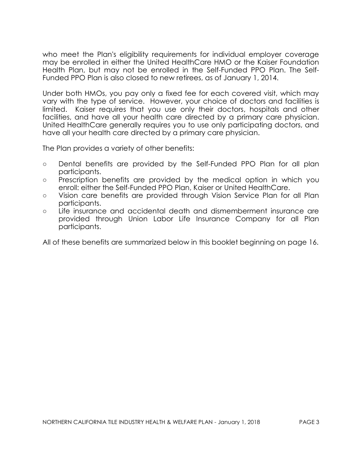who meet the Plan's eligibility requirements for individual employer coverage may be enrolled in either the United HealthCare HMO or the Kaiser Foundation Health Plan, but may not be enrolled in the Self-Funded PPO Plan. The Self-Funded PPO Plan is also closed to new retirees, as of January 1, 2014.

Under both HMOs, you pay only a fixed fee for each covered visit, which may vary with the type of service. However, your choice of doctors and facilities is limited. Kaiser requires that you use only their doctors, hospitals and other facilities, and have all your health care directed by a primary care physician. United HealthCare generally requires you to use only participating doctors, and have all your health care directed by a primary care physician.

The Plan provides a variety of other benefits:

- Dental benefits are provided by the Self-Funded PPO Plan for all plan participants.
- Prescription benefits are provided by the medical option in which you enroll: either the Self-Funded PPO Plan, Kaiser or United HealthCare.
- Vision care benefits are provided through Vision Service Plan for all Plan participants.
- Life insurance and accidental death and dismemberment insurance are provided through Union Labor Life Insurance Company for all Plan participants.

All of these benefits are summarized below in this booklet beginning on page 16.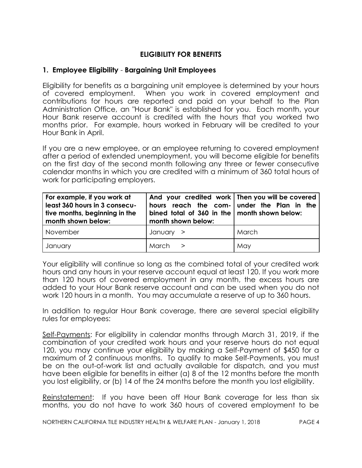## **ELIGIBILITY FOR BENEFITS**

### **1. Employee Eligibility** - **Bargaining Unit Employees**

Eligibility for benefits as a bargaining unit employee is determined by your hours of covered employment. When you work in covered employment and contributions for hours are reported and paid on your behalf to the Plan Administration Office, an "Hour Bank" is established for you. Each month, your Hour Bank reserve account is credited with the hours that you worked two months prior. For example, hours worked in February will be credited to your Hour Bank in April.

If you are a new employee, or an employee returning to covered employment after a period of extended unemployment, you will become eligible for benefits on the first day of the second month following any three or fewer consecutive calendar months in which you are credited with a minimum of 360 total hours of work for participating employers.

| For example, if you work at<br>least 360 hours in 3 consecu-<br>tive months, beginning in the<br>month shown below: | And your credited work   Then you will be covered<br>hours reach the com- under the Plan in the<br>bined total of $360$ in the month shown below:<br>month shown below: |       |
|---------------------------------------------------------------------------------------------------------------------|-------------------------------------------------------------------------------------------------------------------------------------------------------------------------|-------|
| November                                                                                                            | January $>$                                                                                                                                                             | March |
| January                                                                                                             | March >                                                                                                                                                                 | May   |

Your eligibility will continue so long as the combined total of your credited work hours and any hours in your reserve account equal at least 120. If you work more than 120 hours of covered employment in any month, the excess hours are added to your Hour Bank reserve account and can be used when you do not work 120 hours in a month. You may accumulate a reserve of up to 360 hours.

In addition to regular Hour Bank coverage, there are several special eligibility rules for employees:

Self-Payments: For eligibility in calendar months through March 31, 2019, if the combination of your credited work hours and your reserve hours do not equal 120, you may continue your eligibility by making a Self-Payment of \$450 for a maximum of 2 continuous months. To qualify to make Self-Payments, you must be on the out-of-work list and actually available for dispatch, and you must have been eligible for benefits in either (a) 8 of the 12 months before the month you lost eligibility, or (b) 14 of the 24 months before the month you lost eligibility.

Reinstatement: If you have been off Hour Bank coverage for less than six months, you do not have to work 360 hours of covered employment to be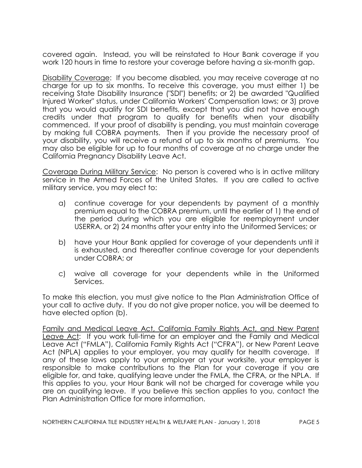covered again. Instead, you will be reinstated to Hour Bank coverage if you work 120 hours in time to restore your coverage before having a six-month gap.

Disability Coverage: If you become disabled, you may receive coverage at no charge for up to six months. To receive this coverage, you must either 1) be receiving State Disability Insurance ("SDl") benefits; or 2) be awarded "Qualified lnjured Worker" status, under California Workers' Compensation laws; or 3) prove that you would qualify for SDI benefits, except that you did not have enough credits under that program to qualify for benefits when your disability commenced. If your proof of disability is pending, you must maintain coverage by making full COBRA payments. Then if you provide the necessary proof of your disability, you will receive a refund of up to six months of premiums. You may also be eligible for up to four months of coverage at no charge under the California Pregnancy Disability Leave Act.

Coverage During Military Service: No person is covered who is in active military service in the Armed Forces of the United States. If you are called to active military service, you may elect to:

- a) continue coverage for your dependents by payment of a monthly premium equal to the COBRA premium, until the earlier of 1) the end of the period during which you are eligible for reemployment under USERRA, or 2) 24 months after your entry into the Uniformed Services; or
- b) have your Hour Bank applied for coverage of your dependents until it is exhausted, and thereafter continue coverage for your dependents under COBRA; or
- c) waive all coverage for your dependents while in the Uniformed Services.

To make this election, you must give notice to the Plan Administration Office of your call to active duty. If you do not give proper notice, you will be deemed to have elected option (b).

Family and Medical Leave Act, California Family Rights Act, and New Parent Leave Act: If you work full-time for an employer and the Family and Medical Leave Act ("FMLA"), California Family Rights Act ("CFRA"), or New Parent Leave Act (NPLA) applies to your employer, you may qualify for health coverage. If any of these laws apply to your employer at your worksite, your employer is responsible to make contributions to the Plan for your coverage if you are eligible for, and take, qualifying leave under the FMLA, the CFRA, or the NPLA. If this applies to you, your Hour Bank will not be charged for coverage while you are on qualifying leave. If you believe this section applies to you, contact the Plan Administration Office for more information.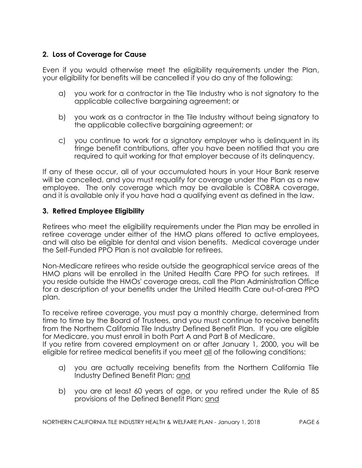## **2. Loss of Coverage for Cause**

Even if you would otherwise meet the eligibility requirements under the Plan, your eligibility for benefits will be cancelled if you do any of the following:

- a) you work for a contractor in the Tile Industry who is not signatory to the applicable collective bargaining agreement; or
- b) you work as a contractor in the Tile Industry without being signatory to the applicable collective bargaining agreement; or
- c) you continue to work for a signatory employer who is delinquent in its fringe benefit contributions, after you have been notified that you are required to quit working for that employer because of its delinquency.

If any of these occur, all of your accumulated hours in your Hour Bank reserve will be cancelled, and you must requalify for coverage under the Plan as a new employee. The only coverage which may be available is COBRA coverage, and it is available only if you have had a qualifying event as defined in the law.

### **3. Retired Employee Eligibility**

Retirees who meet the eligibility requirements under the Plan may be enrolled in retiree coverage under either of the HMO plans offered to active employees, and will also be eligible for dental and vision benefits. Medical coverage under the Self-Funded PPO Plan is not available for retirees.

Non-Medicare retirees who reside outside the geographical service areas of the HMO plans will be enrolled in the United Health Care PPO for such retirees. If you reside outside the HMOs' coverage areas, call the Plan Administration Office for a description of your benefits under the United Health Care out-of-area PPO plan.

To receive retiree coverage, you must pay a monthly charge, determined from time to time by the Board of Trustees, and you must continue to receive benefits from the Northern California Tile Industry Defined Benefit Plan. If you are eligible for Medicare, you must enroll in both Part A and Part B of Medicare.

If you retire from covered employment on or after January 1, 2000, you will be eligible for retiree medical benefits if you meet all of the following conditions:

- a) you are actually receiving benefits from the Northern California Tile Industry Defined Benefit Plan; and
- b) you are at least 60 years of age, or you retired under the Rule of 85 provisions of the Defined Benefit Plan; and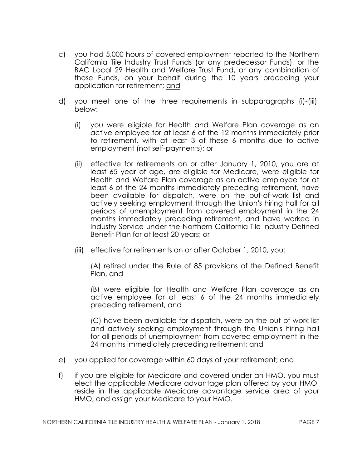- c) you had 5,000 hours of covered employment reported to the Northern California Tile Industry Trust Funds (or any predecessor Funds), or the BAC Local 29 Health and Welfare Trust Fund, or any combination of those Funds, on your behalf during the 10 years preceding your application for retirement; and
- d) you meet one of the three requirements in subparagraphs (i)-(iii), below:
	- (i) you were eligible for Health and Welfare Plan coverage as an active employee for at least 6 of the 12 months immediately prior to retirement, with at least 3 of these 6 months due to active employment (not self-payments); or
	- (ii) effective for retirements on or after January 1, 2010, you are at least 65 year of age, are eligible for Medicare, were eligible for Health and Welfare Plan coverage as an active employee for at least 6 of the 24 months immediately preceding retirement, have been available for dispatch, were on the out-of-work list and actively seeking employment through the Union's hiring hall for all periods of unemployment from covered employment in the 24 months immediately preceding retirement, and have worked in Industry Service under the Northern California Tile Industry Defined Benefit Plan for at least 20 years; or
	- (iii) effective for retirements on or after October 1, 2010, you:

(A) retired under the Rule of 85 provisions of the Defined Benefit Plan, and

(B) were eligible for Health and Welfare Plan coverage as an active employee for at least 6 of the 24 months immediately preceding retirement, and

(C) have been available for dispatch, were on the out-of-work list and actively seeking employment through the Union's hiring hall for all periods of unemployment from covered employment in the 24 months immediately preceding retirement; and

- e) you applied for coverage within 60 days of your retirement; and
- f) if you are eligible for Medicare and covered under an HMO, you must elect the applicable Medicare advantage plan offered by your HMO, reside in the applicable Medicare advantage service area of your HMO, and assign your Medicare to your HMO.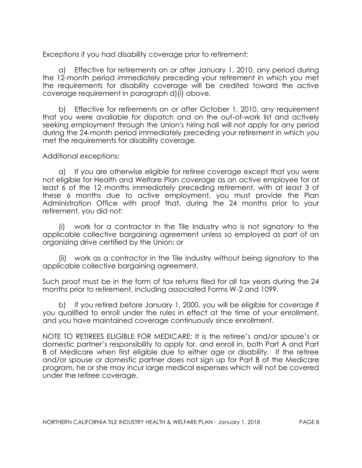Exceptions if you had disability coverage prior to retirement:

a) Effective for retirements on or after January 1, 2010, any period during the 12-month period immediately preceding your retirement in which you met the requirements for disability coverage will be credited toward the active coverage requirement in paragraph d)(i) above.

b) Effective for retirements on or after October 1, 2010, any requirement that you were available for dispatch and on the out-of-work list and actively seeking employment through the Union's hiring hall will not apply for any period during the 24-month period immediately preceding your retirement in which you met the requirements for disability coverage.

Additional exceptions:

a) If you are otherwise eligible for retiree coverage except that you were not eligible for Health and Welfare Plan coverage as an active employee for at least 6 of the 12 months immediately preceding retirement, with at least 3 of these 6 months due to active employment, you must provide the Plan Administration Office with proof that, during the 24 months prior to your retirement, you did not:

(i) work for a contractor in the Tile Industry who is not signatory to the applicable collective bargaining agreement unless so employed as part of an organizing drive certified by the Union; or

(ii) work as a contractor in the Tile Industry without being signatory to the applicable collective bargaining agreement.

Such proof must be in the form of tax returns filed for all tax years during the 24 months prior to retirement, including associated Forms W-2 and 1099.

b) If you retired before January 1, 2000, you will be eligible for coverage if you qualified to enroll under the rules in effect at the time of your enrollment, and you have maintained coverage continuously since enrollment.

NOTE TO RETIREES ELIGIBLE FOR MEDICARE: It is the retiree's and/or spouse's or domestic partner's responsibility to apply for, and enroll in, both Part A and Part B of Medicare when first eligible due to either age or disability. If the retiree and/or spouse or domestic partner does not sign up for Part B of the Medicare program, he or she may incur large medical expenses which will not be covered under the retiree coverage.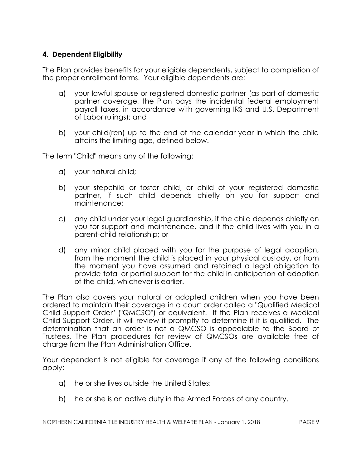### **4. Dependent Eligibility**

The Plan provides benefits for your eligible dependents, subject to completion of the proper enrollment forms. Your eligible dependents are:

- a) your lawful spouse or registered domestic partner (as part of domestic partner coverage, the Plan pays the incidental federal employment payroll taxes, in accordance with governing IRS and U.S. Department of Labor rulings); and
- b) your child(ren) up to the end of the calendar year in which the child attains the limiting age, defined below.

The term "Child" means any of the following:

- a) your natural child;
- b) your stepchild or foster child, or child of your registered domestic partner, if such child depends chiefly on you for support and maintenance;
- c) any child under your legal guardianship, if the child depends chiefly on you for support and maintenance, and if the child lives with you in a parent-child relationship; or
- d) any minor child placed with you for the purpose of legal adoption, from the moment the child is placed in your physical custody, or from the moment you have assumed and retained a legal obligation to provide total or partial support for the child in anticipation of adoption of the child, whichever is earlier.

The Plan also covers your natural or adopted children when you have been ordered to maintain their coverage in a court order called a "Qualified Medical Child Support Order" ("QMCSO") or equivalent. If the Plan receives a Medical Child Support Order, it will review it promptly to determine if it is qualified. The determination that an order is not a QMCSO is appealable to the Board of Trustees. The Plan procedures for review of QMCSOs are available free of charge from the Plan Administration Office.

Your dependent is not eligible for coverage if any of the following conditions apply:

- a) he or she lives outside the United States;
- b) he or she is on active duty in the Armed Forces of any country.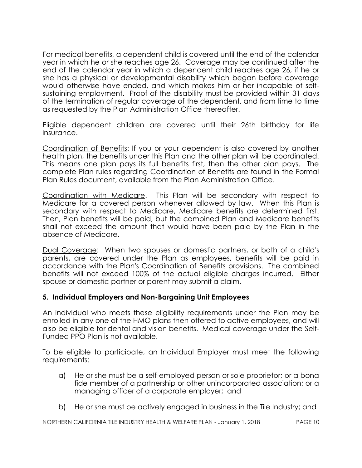For medical benefits, a dependent child is covered until the end of the calendar year in which he or she reaches age 26. Coverage may be continued after the end of the calendar year in which a dependent child reaches age 26, if he or she has a physical or developmental disability which began before coverage would otherwise have ended, and which makes him or her incapable of selfsustaining employment. Proof of the disability must be provided within 31 days of the termination of regular coverage of the dependent, and from time to time as requested by the Plan Administration Office thereafter.

Eligible dependent children are covered until their 26th birthday for life insurance.

Coordination of Benefits: If you or your dependent is also covered by another health plan, the benefits under this Plan and the other plan will be coordinated. This means one plan pays its full benefits first, then the other plan pays. The complete Plan rules regarding Coordination of Benefits are found in the Formal Plan Rules document, available from the Plan Administration Office.

Coordination with Medicare. This Plan will be secondary with respect to Medicare for a covered person whenever allowed by law. When this Plan is secondary with respect to Medicare, Medicare benefits are determined first. Then, Plan benefits will be paid, but the combined Plan and Medicare benefits shall not exceed the amount that would have been paid by the Plan in the absence of Medicare.

Dual Coverage: When two spouses or domestic partners, or both of a child's parents, are covered under the Plan as employees, benefits will be paid in accordance with the Plan's Coordination of Benefits provisions. The combined benefits will not exceed 100% of the actual eligible charges incurred. Either spouse or domestic partner or parent may submit a claim.

#### **5. Individual Employers and Non-Bargaining Unit Employees**

An individual who meets these eligibility requirements under the Plan may be enrolled in any one of the HMO plans then offered to active employees, and will also be eligible for dental and vision benefits. Medical coverage under the Self-Funded PPO Plan is not available.

To be eligible to participate, an Individual Employer must meet the following requirements:

- a) He or she must be a self-employed person or sole proprietor; or a bona fide member of a partnership or other unincorporated association; or a managing officer of a corporate employer; and
- b) He or she must be actively engaged in business in the Tile Industry; and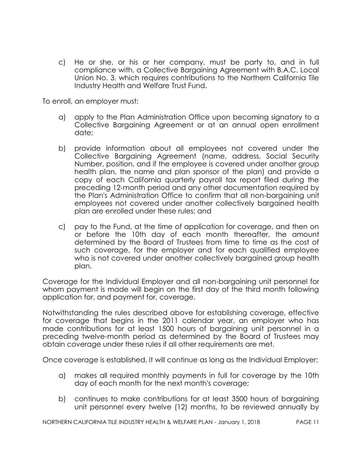c) He or she, or his or her company, must be party to, and in full compliance with, a Collective Bargaining Agreement with B.A.C. Local Union No. 3, which requires contributions to the Northern California Tile Industry Health and Welfare Trust Fund.

To enroll, an employer must:

- a) apply to the Plan Administration Office upon becoming signatory to a Collective Bargaining Agreement or at an annual open enrollment date;
- b) provide information about all employees not covered under the Collective Bargaining Agreement (name, address, Social Security Number, position, and if the employee is covered under another group health plan, the name and plan sponsor of the plan) and provide a copy of each California quarterly payroll tax report filed during the preceding 12-month period and any other documentation required by the Plan's Administration Office to confirm that all non-bargaining unit employees not covered under another collectively bargained health plan are enrolled under these rules; and
- c) pay to the Fund, at the time of application for coverage, and then on or before the 10th day of each month thereafter, the amount determined by the Board of Trustees from time to time as the cost of such coverage, for the employer and for each qualified employee who is not covered under another collectively bargained group health plan.

Coverage for the Individual Employer and all non-bargaining unit personnel for whom payment is made will begin on the first day of the third month following application for, and payment for, coverage.

Notwithstanding the rules described above for establishing coverage, effective for coverage that begins in the 2011 calendar year, an employer who has made contributions for at least 1500 hours of bargaining unit personnel in a preceding twelve-month period as determined by the Board of Trustees may obtain coverage under these rules if all other requirements are met.

Once coverage is established, it will continue as long as the Individual Employer:

- a) makes all required monthly payments in full for coverage by the 10th day of each month for the next month's coverage;
- b) continues to make contributions for at least 3500 hours of bargaining unit personnel every twelve (12) months, to be reviewed annually by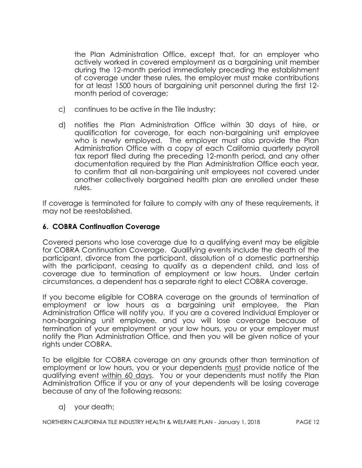the Plan Administration Office, except that, for an employer who actively worked in covered employment as a bargaining unit member during the 12-month period immediately preceding the establishment of coverage under these rules, the employer must make contributions for at least 1500 hours of bargaining unit personnel during the first 12 month period of coverage;

- c) continues to be active in the Tile Industry;
- d) notifies the Plan Administration Office within 30 days of hire, or qualification for coverage, for each non-bargaining unit employee who is newly employed. The employer must also provide the Plan Administration Office with a copy of each California quarterly payroll tax report filed during the preceding 12-month period, and any other documentation required by the Plan Administration Office each year, to confirm that all non-bargaining unit employees not covered under another collectively bargained health plan are enrolled under these rules.

If coverage is terminated for failure to comply with any of these requirements, it may not be reestablished.

### **6. COBRA Continuation Coverage**

Covered persons who lose coverage due to a qualifying event may be eligible for COBRA Continuation Coverage. Qualifying events include the death of the participant, divorce from the participant, dissolution of a domestic partnership with the participant, ceasing to qualify as a dependent child, and loss of coverage due to termination of employment or low hours. Under certain circumstances, a dependent has a separate right to elect COBRA coverage.

If you become eligible for COBRA coverage on the grounds of termination of employment or low hours as a bargaining unit employee, the Plan Administration Office will notify you. If you are a covered Individual Employer or non-bargaining unit employee, and you will lose coverage because of termination of your employment or your low hours, you or your employer must notify the Plan Administration Office, and then you will be given notice of your rights under COBRA.

To be eligible for COBRA coverage on any grounds other than termination of employment or low hours, you or your dependents must provide notice of the qualifying event within 60 days. You or your dependents must notify the Plan Administration Office if you or any of your dependents will be losing coverage because of any of the following reasons:

a) your death;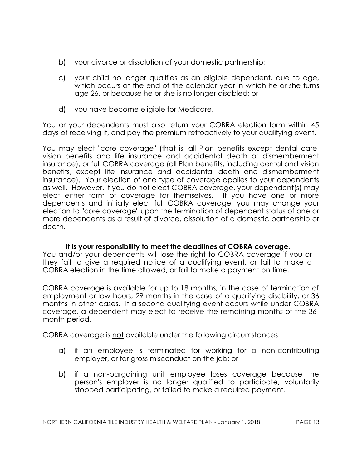- b) your divorce or dissolution of your domestic partnership;
- c) your child no longer qualifies as an eligible dependent, due to age, which occurs at the end of the calendar year in which he or she turns age 26, or because he or she is no longer disabled; or
- d) you have become eligible for Medicare.

You or your dependents must also return your COBRA election form within 45 days of receiving it, and pay the premium retroactively to your qualifying event.

You may elect "core coverage" (that is, all Plan benefits except dental care, vision benefits and life insurance and accidental death or dismemberment insurance), or full COBRA coverage (all Plan benefits, including dental and vision benefits, except life insurance and accidental death and dismemberment insurance). Your election of one type of coverage applies to your dependents as well. However, if you do not elect COBRA coverage, your dependent(s) may elect either form of coverage for themselves. If you have one or more dependents and initially elect full COBRA coverage, you may change your election to "core coverage" upon the termination of dependent status of one or more dependents as a result of divorce, dissolution of a domestic partnership or death.

### **It is your responsibility to meet the deadlines of COBRA coverage.**

You and/or your dependents will lose the right to COBRA coverage if you or they fail to give a required notice of a qualifying event, or fail to make a COBRA election in the time allowed, or fail to make a payment on time.

COBRA coverage is available for up to 18 months, in the case of termination of employment or low hours, 29 months in the case of a qualifying disability, or 36 months in other cases. If a second qualifying event occurs while under COBRA coverage, a dependent may elect to receive the remaining months of the 36 month period.

COBRA coverage is not available under the following circumstances:

- a) if an employee is terminated for working for a non-contributing employer, or for gross misconduct on the job; or
- b) if a non-bargaining unit employee loses coverage because the person's employer is no longer qualified to participate, voluntarily stopped participating, or failed to make a required payment.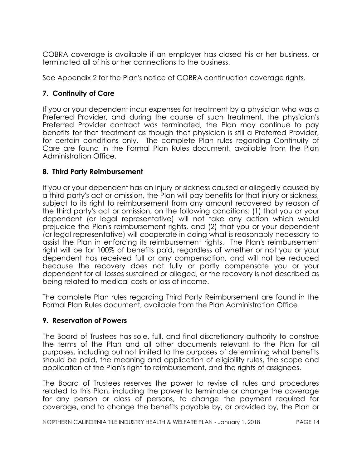COBRA coverage is available if an employer has closed his or her business, or terminated all of his or her connections to the business.

See Appendix 2 for the Plan's notice of COBRA continuation coverage rights.

## **7. Continuity of Care**

If you or your dependent incur expenses for treatment by a physician who was a Preferred Provider, and during the course of such treatment, the physician's Preferred Provider contract was terminated, the Plan may continue to pay benefits for that treatment as though that physician is still a Preferred Provider, for certain conditions only. The complete Plan rules regarding Continuity of Care are found in the Formal Plan Rules document, available from the Plan Administration Office.

### **8. Third Party Reimbursement**

If you or your dependent has an injury or sickness caused or allegedly caused by a third party's act or omission, the Plan will pay benefits for that injury or sickness, subject to its right to reimbursement from any amount recovered by reason of the third party's act or omission, on the following conditions: (1) that you or your dependent (or legal representative) will not take any action which would prejudice the Plan's reimbursement rights, and (2) that you or your dependent (or legal representative) will cooperate in doing what is reasonably necessary to assist the Plan in enforcing its reimbursement rights. The Plan's reimbursement right will be for 100% of benefits paid, regardless of whether or not you or your dependent has received full or any compensation, and will not be reduced because the recovery does not fully or partly compensate you or your dependent for all losses sustained or alleged, or the recovery is not described as being related to medical costs or loss of income.

The complete Plan rules regarding Third Party Reimbursement are found in the Formal Plan Rules document, available from the Plan Administration Office.

#### **9. Reservation of Powers**

The Board of Trustees has sole, full, and final discretionary authority to construe the terms of the Plan and all other documents relevant to the Plan for all purposes, including but not limited to the purposes of determining what benefits should be paid, the meaning and application of eligibility rules, the scope and application of the Plan's right to reimbursement, and the rights of assignees.

The Board of Trustees reserves the power to revise all rules and procedures related to this Plan, including the power to terminate or change the coverage for any person or class of persons, to change the payment required for coverage, and to change the benefits payable by, or provided by, the Plan or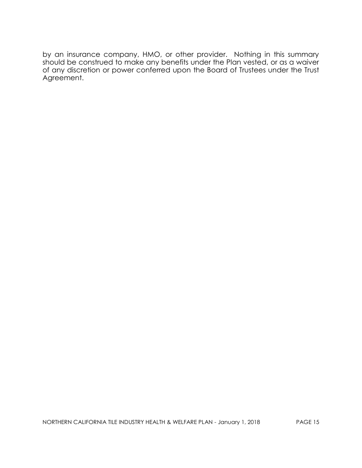by an insurance company, HMO, or other provider. Nothing in this summary should be construed to make any benefits under the Plan vested, or as a waiver of any discretion or power conferred upon the Board of Trustees under the Trust Agreement.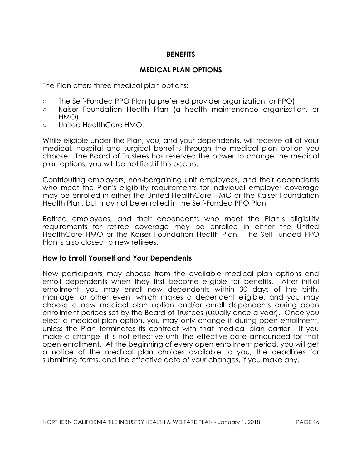### **BENEFITS**

#### **MEDICAL PLAN OPTIONS**

The Plan offers three medical plan options:

- The Self-Funded PPO Plan (a preferred provider organization, or PPO).
- Kaiser Foundation Health Plan (a health maintenance organization, or HMO).
- United HealthCare HMO.

While eligible under the Plan, you, and your dependents, will receive all of your medical, hospital and surgical benefits through the medical plan option you choose. The Board of Trustees has reserved the power to change the medical plan options; you will be notified if this occurs.

Contributing employers, non-bargaining unit employees, and their dependents who meet the Plan's eligibility requirements for individual employer coverage may be enrolled in either the United HealthCare HMO or the Kaiser Foundation Health Plan, but may not be enrolled in the Self-Funded PPO Plan.

Retired employees, and their dependents who meet the Plan's eligibility requirements for retiree coverage may be enrolled in either the United HealthCare HMO or the Kaiser Foundation Health Plan. The Self-Funded PPO Plan is also closed to new retirees.

#### **How to Enroll Yourself and Your Dependents**

New participants may choose from the available medical plan options and enroll dependents when they first become eligible for benefits. After initial enrollment, you may enroll new dependents within 30 days of the birth, marriage, or other event which makes a dependent eligible, and you may choose a new medical plan option and/or enroll dependents during open enrollment periods set by the Board of Trustees (usually once a year). Once you elect a medical plan option, you may only change it during open enrollment, unless the Plan terminates its contract with that medical plan carrier. If you make a change, it is not effective until the effective date announced for that open enrollment. At the beginning of every open enrollment period, you will get a notice of the medical plan choices available to you, the deadlines for submitting forms, and the effective date of your changes, if you make any.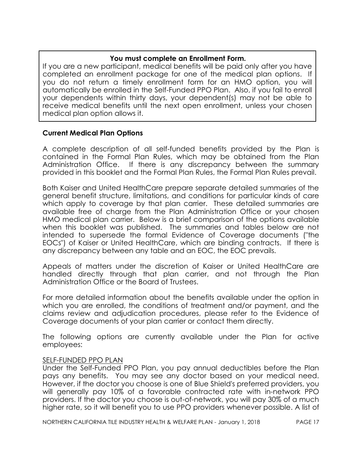### **You must complete an Enrollment Form.**

If you are a new participant, medical benefits will be paid only after you have completed an enrollment package for one of the medical plan options. If you do not return a timely enrollment form for an HMO option, you will automatically be enrolled in the Self-Funded PPO Plan. Also, if you fail to enroll your dependents within thirty days, your dependent(s) may not be able to receive medical benefits until the next open enrollment, unless your chosen medical plan option allows it.

### **Current Medical Plan Options**

A complete description of all self-funded benefits provided by the Plan is contained in the Formal Plan Rules, which may be obtained from the Plan Administration Office. If there is any discrepancy between the summary provided in this booklet and the Formal Plan Rules, the Formal Plan Rules prevail.

Both Kaiser and United HealthCare prepare separate detailed summaries of the general benefit structure, limitations, and conditions for particular kinds of care which apply to coverage by that plan carrier. These detailed summaries are available free of charge from the Plan Administration Office or your chosen HMO medical plan carrier. Below is a brief comparison of the options available when this booklet was published. The summaries and tables below are not intended to supersede the formal Evidence of Coverage documents ("the EOCs") of Kaiser or United HealthCare, which are binding contracts. If there is any discrepancy between any table and an EOC, the EOC prevails.

Appeals of matters under the discretion of Kaiser or United HealthCare are handled directly through that plan carrier, and not through the Plan Administration Office or the Board of Trustees.

For more detailed information about the benefits available under the option in which you are enrolled, the conditions of treatment and/or payment, and the claims review and adjudication procedures, please refer to the Evidence of Coverage documents of your plan carrier or contact them directly.

The following options are currently available under the Plan for active employees:

#### SELF-FUNDED PPO PLAN

Under the Self-Funded PPO Plan, you pay annual deductibles before the Plan pays any benefits. You may see any doctor based on your medical need. However, if the doctor you choose is one of Blue Shield's preferred providers, you will generally pay 10% of a favorable contracted rate with in-network PPO providers. If the doctor you choose is out-of-network, you will pay 30% of a much higher rate, so it will benefit you to use PPO providers whenever possible. A list of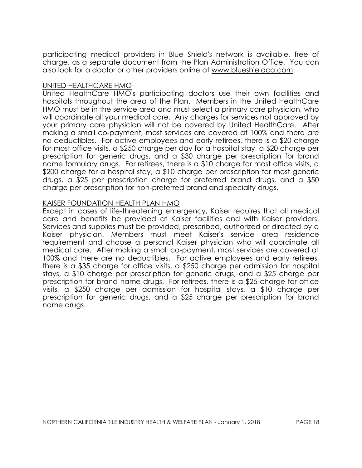participating medical providers in Blue Shield's network is available, free of charge, as a separate document from the Plan Administration Office. You can also look for a doctor or other providers online at www.blueshieldca.com.

#### UNITED HEALTHCARE HMO

United HealthCare HMO's participating doctors use their own facilities and hospitals throughout the area of the Plan. Members in the United HealthCare HMO must be in the service area and must select a primary care physician, who will coordinate all your medical care. Any charges for services not approved by your primary care physician will not be covered by United HealthCare. After making a small co-payment, most services are covered at 100% and there are no deductibles. For active employees and early retirees, there is a \$20 charge for most office visits, a \$250 charge per day for a hospital stay, a \$20 charge per prescription for generic drugs, and a \$30 charge per prescription for brand name formulary drugs. For retirees, there is a \$10 charge for most office visits, a \$200 charge for a hospital stay, a \$10 charge per prescription for most generic drugs, a \$25 per prescription charge for preferred brand drugs, and a \$50 charge per prescription for non-preferred brand and specialty drugs.

#### KAISER FOUNDATION HEALTH PLAN HMO

Except in cases of life-threatening emergency, Kaiser requires that all medical care and benefits be provided at Kaiser facilities and with Kaiser providers. Services and supplies must be provided, prescribed, authorized or directed by a Kaiser physician. Members must meet Kaiser's service area residence requirement and choose a personal Kaiser physician who will coordinate all medical care. After making a small co-payment, most services are covered at 100% and there are no deductibles. For active employees and early retirees, there is a \$35 charge for office visits, a \$250 charge per admission for hospital stays, a \$10 charge per prescription for generic drugs, and a \$25 charge per prescription for brand name drugs. For retirees, there is a \$25 charge for office visits, a \$250 charge per admission for hospital stays, a \$10 charge per prescription for generic drugs, and a \$25 charge per prescription for brand name drugs.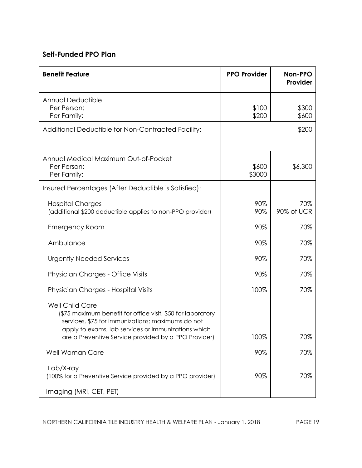## **Self-Funded PPO Plan**

| <b>Benefit Feature</b>                                                                                                                                                                            | <b>PPO Provider</b> | Non-PPO<br>Provider |
|---------------------------------------------------------------------------------------------------------------------------------------------------------------------------------------------------|---------------------|---------------------|
| Annual Deductible<br>Per Person:<br>Per Family:                                                                                                                                                   | \$100<br>\$200      | \$300<br>\$600      |
| Additional Deductible for Non-Contracted Facility:                                                                                                                                                |                     | \$200               |
| Annual Medical Maximum Out-of-Pocket<br>Per Person:<br>Per Family:                                                                                                                                | \$600<br>\$3000     | \$6,300             |
| Insured Percentages (After Deductible is Satisfied):                                                                                                                                              |                     |                     |
| <b>Hospital Charges</b><br>(additional \$200 deductible applies to non-PPO provider)                                                                                                              | 90%<br>90%          | 70%<br>90% of UCR   |
| <b>Emergency Room</b>                                                                                                                                                                             | 90%                 | 70%                 |
| Ambulance                                                                                                                                                                                         | 90%                 | 70%                 |
| <b>Urgently Needed Services</b>                                                                                                                                                                   | 90%                 | 70%                 |
| <b>Physician Charges - Office Visits</b>                                                                                                                                                          | 90%                 | 70%                 |
| Physician Charges - Hospital Visits                                                                                                                                                               | 100%                | 70%                 |
| <b>Well Child Care</b><br>(\$75 maximum benefit for office visit, \$50 for laboratory<br>services, \$75 for immunizations; maximums do not<br>apply to exams, lab services or immunizations which |                     |                     |
| are a Preventive Service provided by a PPO Provider)                                                                                                                                              | 100%                | 70%                 |
| Well Woman Care                                                                                                                                                                                   | 90%                 | 70%                 |
| Lab/X-ray<br>(100% for a Preventive Service provided by a PPO provider)                                                                                                                           | 90%                 | 70%                 |
| Imaging (MRI, CET, PET)                                                                                                                                                                           |                     |                     |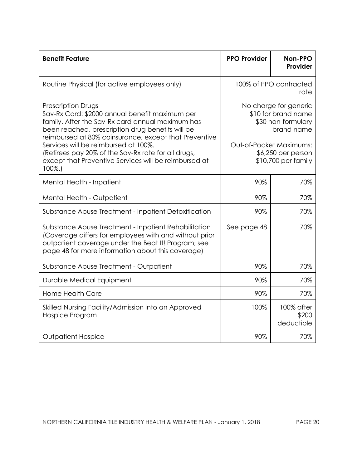| <b>Benefit Feature</b>                                                                                                                                                                                                                                                                                                                                                                                             | <b>PPO Provider</b> | Non-PPO<br>Provider                                                                                                                                       |
|--------------------------------------------------------------------------------------------------------------------------------------------------------------------------------------------------------------------------------------------------------------------------------------------------------------------------------------------------------------------------------------------------------------------|---------------------|-----------------------------------------------------------------------------------------------------------------------------------------------------------|
| Routine Physical (for active employees only)                                                                                                                                                                                                                                                                                                                                                                       |                     | 100% of PPO contracted<br>rate                                                                                                                            |
| <b>Prescription Drugs</b><br>Sav-Rx Card: \$2000 annual benefit maximum per<br>family. After the Sav-Rx card annual maximum has<br>been reached, prescription drug benefits will be<br>reimbursed at 80% coinsurance, except that Preventive<br>Services will be reimbursed at 100%.<br>(Retirees pay 20% of the Sav-Rx rate for all drugs,<br>except that Preventive Services will be reimbursed at<br>$100\%$ .) |                     | No charge for generic<br>\$10 for brand name<br>\$30 non-formulary<br>brand name<br>Out-of-Pocket Maximums:<br>$$6,250$ per person<br>\$10,700 per family |
| Mental Health - Inpatient                                                                                                                                                                                                                                                                                                                                                                                          | 90%                 | 70%                                                                                                                                                       |
| Mental Health - Outpatient                                                                                                                                                                                                                                                                                                                                                                                         | 90%                 | 70%                                                                                                                                                       |
| Substance Abuse Treatment - Inpatient Detoxification                                                                                                                                                                                                                                                                                                                                                               | 90%                 | 70%                                                                                                                                                       |
| Substance Abuse Treatment - Inpatient Rehabilitation<br>(Coverage differs for employees with and without prior<br>outpatient coverage under the Beat It! Program; see<br>page 48 for more information about this coverage)                                                                                                                                                                                         | See page 48         | 70%                                                                                                                                                       |
| Substance Abuse Treatment - Outpatient                                                                                                                                                                                                                                                                                                                                                                             | 90%                 | 70%                                                                                                                                                       |
| Durable Medical Equipment                                                                                                                                                                                                                                                                                                                                                                                          | 90%                 | 70%                                                                                                                                                       |
| <b>Home Health Care</b>                                                                                                                                                                                                                                                                                                                                                                                            | 90%                 | 70%                                                                                                                                                       |
| Skilled Nursing Facility/Admission into an Approved<br>Hospice Program                                                                                                                                                                                                                                                                                                                                             | 100%                | 100% after<br>\$200<br>deductible                                                                                                                         |
| <b>Outpatient Hospice</b>                                                                                                                                                                                                                                                                                                                                                                                          | 90%                 | 70%                                                                                                                                                       |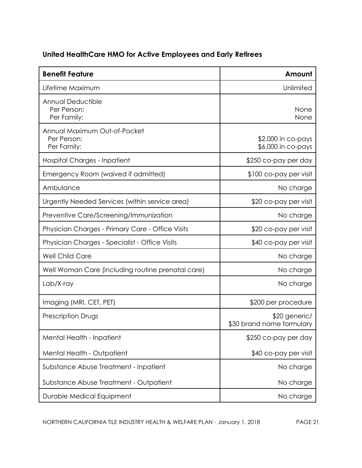## **United HealthCare HMO for Active Employees and Early Retirees**

| <b>Benefit Feature</b>                                     | Amount                                     |
|------------------------------------------------------------|--------------------------------------------|
| Lifetime Maximum                                           | Unlimited                                  |
| Annual Deductible<br>Per Person:<br>Per Family:            | None<br>None                               |
| Annual Maximum Out-of-Pocket<br>Per Person:<br>Per Family: | \$2,000 in co-pays<br>\$6,000 in co-pays   |
| Hospital Charges - Inpatient                               | \$250 co-pay per day                       |
| Emergency Room (waived if admitted)                        | \$100 co-pay per visit                     |
| Ambulance                                                  | No charge                                  |
| Urgently Needed Services (within service area)             | \$20 co-pay per visit                      |
| Preventive Care/Screening/Immunization                     | No charge                                  |
| Physician Charges - Primary Care - Office Visits           | \$20 co-pay per visit                      |
| Physician Charges - Specialist - Office Visits             | \$40 co-pay per visit                      |
| Well Child Care                                            | No charge                                  |
| Well Woman Care (including routine prenatal care)          | No charge                                  |
| Lab/X-ray                                                  | No charge                                  |
| Imaging (MRI, CET, PET)                                    | \$200 per procedure                        |
| <b>Prescription Drugs</b>                                  | \$20 generic/<br>\$30 brand name formulary |
| Mental Health - Inpatient                                  | \$250 co-pay per day                       |
| Mental Health - Outpatient                                 | \$40 co-pay per visit                      |
| Substance Abuse Treatment - Inpatient                      | No charge                                  |
| Substance Abuse Treatment - Outpatient                     | No charge                                  |
| Durable Medical Equipment                                  | No charge                                  |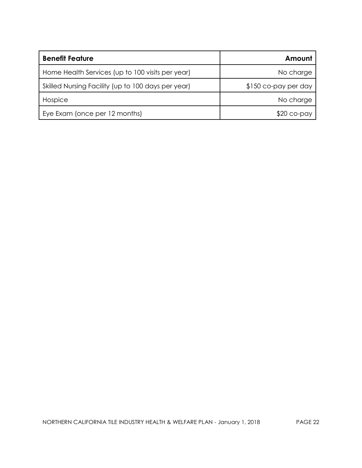| <b>Benefit Feature</b>                             | Amount               |
|----------------------------------------------------|----------------------|
| Home Health Services (up to 100 visits per year)   | No charge            |
| Skilled Nursing Facility (up to 100 days per year) | \$150 co-pay per day |
| Hospice                                            | No charge            |
| Eye Exam (once per 12 months)                      | $$20$ co-pay         |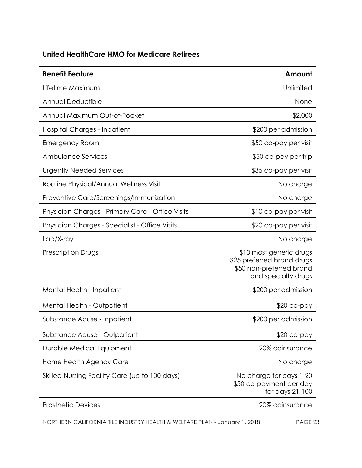## **United HealthCare HMO for Medicare Retirees**

| <b>Benefit Feature</b>                           | Amount                                                                                                   |
|--------------------------------------------------|----------------------------------------------------------------------------------------------------------|
| Lifetime Maximum                                 | Unlimited                                                                                                |
| Annual Deductible                                | None                                                                                                     |
| Annual Maximum Out-of-Pocket                     | \$2,000                                                                                                  |
| Hospital Charges - Inpatient                     | \$200 per admission                                                                                      |
| <b>Emergency Room</b>                            | \$50 co-pay per visit                                                                                    |
| <b>Ambulance Services</b>                        | \$50 co-pay per trip                                                                                     |
| <b>Urgently Needed Services</b>                  | \$35 co-pay per visit                                                                                    |
| Routine Physical/Annual Wellness Visit           | No charge                                                                                                |
| Preventive Care/Screenings/Immunization          | No charge                                                                                                |
| Physician Charges - Primary Care - Office Visits | \$10 co-pay per visit                                                                                    |
| Physician Charges - Specialist - Office Visits   | \$20 co-pay per visit                                                                                    |
| Lab/X-ray                                        | No charge                                                                                                |
| <b>Prescription Drugs</b>                        | \$10 most generic drugs<br>\$25 preferred brand drugs<br>\$50 non-preferred brand<br>and specialty drugs |
| Mental Health - Inpatient                        | \$200 per admission                                                                                      |
| Mental Health - Outpatient                       | $$20$ co-pay                                                                                             |
| Substance Abuse - Inpatient                      | \$200 per admission                                                                                      |
| Substance Abuse - Outpatient                     | $$20$ co-pay                                                                                             |
| Durable Medical Equipment                        | 20% coinsurance                                                                                          |
| Home Health Agency Care                          | No charge                                                                                                |
| Skilled Nursing Facility Care (up to 100 days)   | No charge for days 1-20<br>\$50 co-payment per day<br>for days 21-100                                    |
| <b>Prosthetic Devices</b>                        | 20% coinsurance                                                                                          |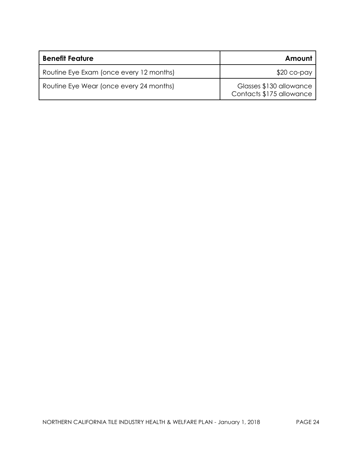| <b>Benefit Feature</b>                  | Amount                                              |
|-----------------------------------------|-----------------------------------------------------|
| Routine Eye Exam (once every 12 months) | $$20$ co-pay                                        |
| Routine Eye Wear (once every 24 months) | Glasses \$130 allowance<br>Contacts \$175 allowance |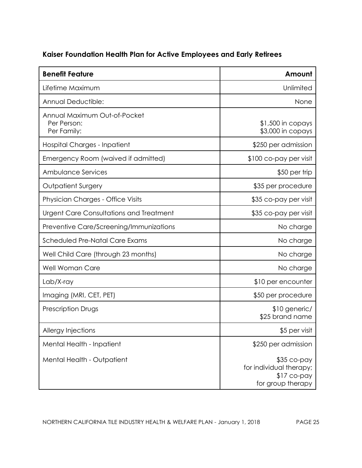## **Kaiser Foundation Health Plan for Active Employees and Early Retirees**

| <b>Benefit Feature</b>                                     | Amount                                                                     |
|------------------------------------------------------------|----------------------------------------------------------------------------|
| Lifetime Maximum                                           | Unlimited                                                                  |
| Annual Deductible:                                         | None                                                                       |
| Annual Maximum Out-of-Pocket<br>Per Person:<br>Per Family: | \$1,500 in copays<br>\$3,000 in copays                                     |
| Hospital Charges - Inpatient                               | \$250 per admission                                                        |
| Emergency Room (waived if admitted)                        | \$100 co-pay per visit                                                     |
| Ambulance Services                                         | \$50 per trip                                                              |
| Outpatient Surgery                                         | \$35 per procedure                                                         |
| <b>Physician Charges - Office Visits</b>                   | \$35 co-pay per visit                                                      |
| <b>Urgent Care Consultations and Treatment</b>             | \$35 co-pay per visit                                                      |
| Preventive Care/Screening/Immunizations                    | No charge                                                                  |
| <b>Scheduled Pre-Natal Care Exams</b>                      | No charge                                                                  |
| Well Child Care (through 23 months)                        | No charge                                                                  |
| <b>Well Woman Care</b>                                     | No charge                                                                  |
| Lab/X-ray                                                  | \$10 per encounter                                                         |
| Imaging (MRI, CET, PET)                                    | \$50 per procedure                                                         |
| Prescription Drugs                                         | \$10 generic/<br>\$25 brand name                                           |
| Allergy Injections                                         | \$5 per visit                                                              |
| Mental Health - Inpatient                                  | \$250 per admission                                                        |
| Mental Health - Outpatient                                 | \$35 co-pay<br>for individual therapy;<br>\$17 co-pay<br>for group therapy |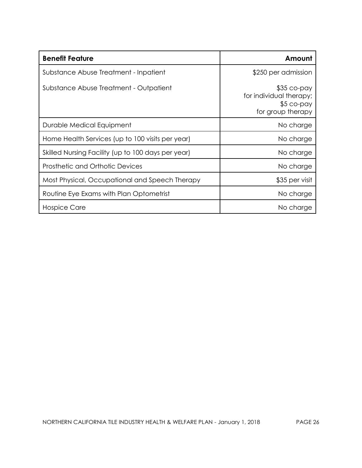| <b>Benefit Feature</b>                             | Amount                                                                      |
|----------------------------------------------------|-----------------------------------------------------------------------------|
| Substance Abuse Treatment - Inpatient              | \$250 per admission                                                         |
| Substance Abuse Treatment - Outpatient             | $$35$ co-pay<br>for individual therapy;<br>$$5$ co-pay<br>for group therapy |
| Durable Medical Equipment                          | No charge                                                                   |
| Home Health Services (up to 100 visits per year)   | No charge                                                                   |
| Skilled Nursing Facility (up to 100 days per year) | No charge                                                                   |
| Prosthetic and Orthotic Devices                    | No charge                                                                   |
| Most Physical, Occupational and Speech Therapy     | \$35 per visit                                                              |
| Routine Eye Exams with Plan Optometrist            | No charge                                                                   |
| Hospice Care                                       | No charge                                                                   |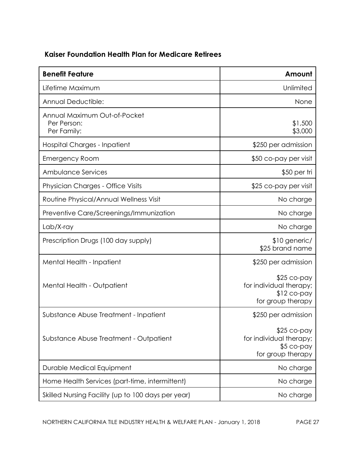## **Kaiser Foundation Health Plan for Medicare Retirees**

| <b>Benefit Feature</b>                                     | Amount                                                                       |
|------------------------------------------------------------|------------------------------------------------------------------------------|
| Lifetime Maximum                                           | Unlimited                                                                    |
| Annual Deductible:                                         | None                                                                         |
| Annual Maximum Out-of-Pocket<br>Per Person:<br>Per Family: | \$1,500<br>\$3,000                                                           |
| Hospital Charges - Inpatient                               | \$250 per admission                                                          |
| <b>Emergency Room</b>                                      | \$50 co-pay per visit                                                        |
| Ambulance Services                                         | \$50 per tri                                                                 |
| <b>Physician Charges - Office Visits</b>                   | \$25 co-pay per visit                                                        |
| Routine Physical/Annual Wellness Visit                     | No charge                                                                    |
| Preventive Care/Screenings/Immunization                    | No charge                                                                    |
| Lab/X-ray                                                  | No charge                                                                    |
| Prescription Drugs (100 day supply)                        | \$10 generic/<br>\$25 brand name                                             |
| Mental Health - Inpatient                                  | \$250 per admission                                                          |
| Mental Health - Outpatient                                 | $$25$ co-pay<br>for individual therapy;<br>$$12$ co-pay<br>for group therapy |
| Substance Abuse Treatment - Inpatient                      | \$250 per admission                                                          |
| Substance Abuse Treatment - Outpatient                     | \$25 co-pay<br>for individual therapy;<br>$$5$ co-pay<br>for group therapy   |
| Durable Medical Equipment                                  | No charge                                                                    |
| Home Health Services (part-time, intermittent)             | No charge                                                                    |
| Skilled Nursing Facility (up to 100 days per year)         | No charge                                                                    |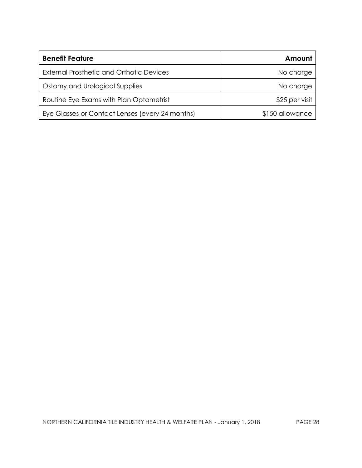| <b>Benefit Feature</b>                          | Amount          |
|-------------------------------------------------|-----------------|
| <b>External Prosthetic and Orthotic Devices</b> | No charge       |
| Ostomy and Urological Supplies                  | No charge       |
| Routine Eye Exams with Plan Optometrist         | \$25 per visit  |
| Eye Glasses or Contact Lenses (every 24 months) | \$150 allowance |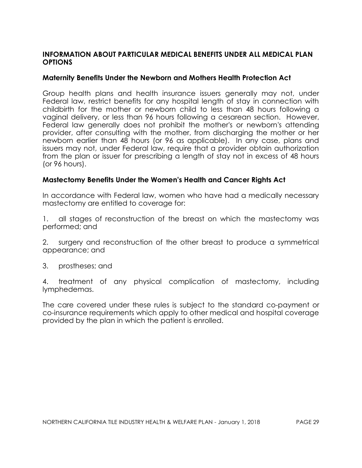#### **INFORMATION ABOUT PARTICULAR MEDICAL BENEFITS UNDER ALL MEDICAL PLAN OPTIONS**

#### **Maternity Benefits Under the Newborn and Mothers Health Protection Act**

Group health plans and health insurance issuers generally may not, under Federal law, restrict benefits for any hospital length of stay in connection with childbirth for the mother or newborn child to less than 48 hours following a vaginal delivery, or less than 96 hours following a cesarean section. However, Federal law generally does not prohibit the mother's or newborn's attending provider, after consulting with the mother, from discharging the mother or her newborn earlier than 48 hours (or 96 as applicable). In any case, plans and issuers may not, under Federal law, require that a provider obtain authorization from the plan or issuer for prescribing a length of stay not in excess of 48 hours (or 96 hours).

#### **Mastectomy Benefits Under the Women's Health and Cancer Rights Act**

In accordance with Federal law, women who have had a medically necessary mastectomy are entitled to coverage for:

1. all stages of reconstruction of the breast on which the mastectomy was performed; and

2. surgery and reconstruction of the other breast to produce a symmetrical appearance; and

3. prostheses; and

4. treatment of any physical complication of mastectomy, including lymphedemas.

The care covered under these rules is subject to the standard co-payment or co-insurance requirements which apply to other medical and hospital coverage provided by the plan in which the patient is enrolled.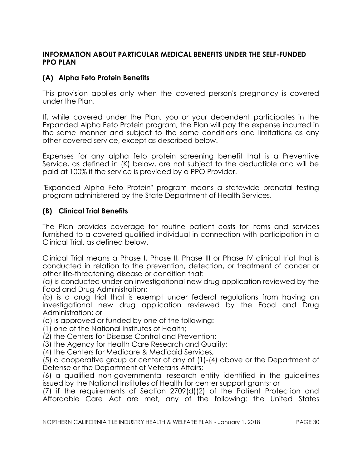#### **INFORMATION ABOUT PARTICULAR MEDICAL BENEFITS UNDER THE SELF-FUNDED PPO PLAN**

### **(A) Alpha Feto Protein Benefits**

This provision applies only when the covered person's pregnancy is covered under the Plan.

If, while covered under the Plan, you or your dependent participates in the Expanded Alpha Feto Protein program, the Plan will pay the expense incurred in the same manner and subject to the same conditions and limitations as any other covered service, except as described below.

Expenses for any alpha feto protein screening benefit that is a Preventive Service, as defined in (K) below, are not subject to the deductible and will be paid at 100% if the service is provided by a PPO Provider.

"Expanded Alpha Feto Protein" program means a statewide prenatal testing program administered by the State Department of Health Services.

### **(B) Clinical Trial Benefits**

The Plan provides coverage for routine patient costs for items and services furnished to a covered qualified individual in connection with participation in a Clinical Trial, as defined below.

Clinical Trial means a Phase I, Phase II, Phase III or Phase IV clinical trial that is conducted in relation to the prevention, detection, or treatment of cancer or other life-threatening disease or condition that:

(a) is conducted under an investigational new drug application reviewed by the Food and Drug Administration;

(b) is a drug trial that is exempt under federal regulations from having an investigational new drug application reviewed by the Food and Drug Administration; or

(c) is approved or funded by one of the following:

- (1) one of the National Institutes of Health;
- (2) the Centers for Disease Control and Prevention;
- (3) the Agency for Health Care Research and Quality;

(4) the Centers for Medicare & Medicaid Services;

(5) a cooperative group or center of any of (1)-(4) above or the Department of Defense or the Department of Veterans Affairs;

(6) a qualified non-governmental research entity identified in the guidelines issued by the National Institutes of Health for center support grants; or

(7) if the requirements of Section 2709(d)(2) of the Patient Protection and Affordable Care Act are met, any of the following: the United States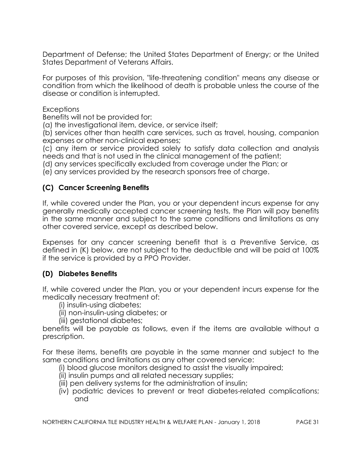Department of Defense; the United States Department of Energy; or the United States Department of Veterans Affairs.

For purposes of this provision, "life-threatening condition" means any disease or condition from which the likelihood of death is probable unless the course of the disease or condition is interrupted.

### **Exceptions**

Benefits will not be provided for:

(a) the investigational item, device, or service itself;

(b) services other than health care services, such as travel, housing, companion expenses or other non-clinical expenses;

(c) any item or service provided solely to satisfy data collection and analysis needs and that is not used in the clinical management of the patient;

(d) any services specifically excluded from coverage under the Plan; or

(e) any services provided by the research sponsors free of charge.

# **(C) Cancer Screening Benefits**

If, while covered under the Plan, you or your dependent incurs expense for any generally medically accepted cancer screening tests, the Plan will pay benefits in the same manner and subject to the same conditions and limitations as any other covered service, except as described below.

Expenses for any cancer screening benefit that is a Preventive Service, as defined in (K) below, are not subject to the deductible and will be paid at 100% if the service is provided by a PPO Provider.

### **(D) Diabetes Benefits**

If, while covered under the Plan, you or your dependent incurs expense for the medically necessary treatment of:

(i) insulin-using diabetes;

(ii) non-insulin-using diabetes; or

(iii) gestational diabetes;

benefits will be payable as follows, even if the items are available without a prescription.

For these items, benefits are payable in the same manner and subject to the same conditions and limitations as any other covered service:

(i) blood glucose monitors designed to assist the visually impaired;

- (ii) insulin pumps and all related necessary supplies;
- (iii) pen delivery systems for the administration of insulin;
- (iv) podiatric devices to prevent or treat diabetes-related complications; and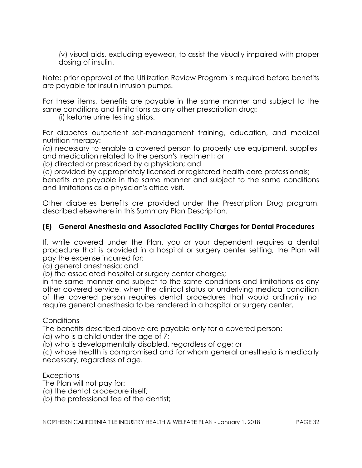(v) visual aids, excluding eyewear, to assist the visually impaired with proper dosing of insulin.

Note: prior approval of the Utilization Review Program is required before benefits are payable for insulin infusion pumps.

For these items, benefits are payable in the same manner and subject to the same conditions and limitations as any other prescription drug:

(i) ketone urine testing strips.

For diabetes outpatient self-management training, education, and medical nutrition therapy:

(a) necessary to enable a covered person to properly use equipment, supplies, and medication related to the person's treatment; or

(b) directed or prescribed by a physician; and

(c) provided by appropriately licensed or registered health care professionals;

benefits are payable in the same manner and subject to the same conditions and limitations as a physician's office visit.

Other diabetes benefits are provided under the Prescription Drug program, described elsewhere in this Summary Plan Description.

# **(E) General Anesthesia and Associated Facility Charges for Dental Procedures**

If, while covered under the Plan, you or your dependent requires a dental procedure that is provided in a hospital or surgery center setting, the Plan will pay the expense incurred for:

(a) general anesthesia; and

(b) the associated hospital or surgery center charges;

in the same manner and subject to the same conditions and limitations as any other covered service, when the clinical status or underlying medical condition of the covered person requires dental procedures that would ordinarily not require general anesthesia to be rendered in a hospital or surgery center.

# Conditions

The benefits described above are payable only for a covered person:

(a) who is a child under the age of 7;

(b) who is developmentally disabled, regardless of age; or

(c) whose health is compromised and for whom general anesthesia is medically necessary, regardless of age.

### Exceptions

The Plan will not pay for:

(a) the dental procedure itself;

(b) the professional fee of the dentist;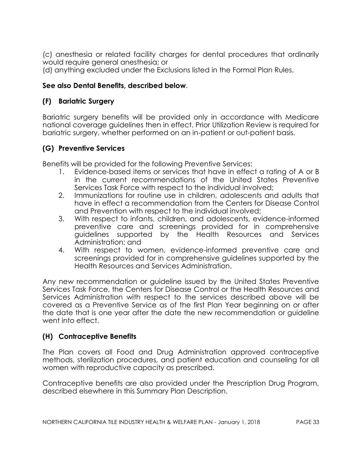(c) anesthesia or related facility charges for dental procedures that ordinarily would require general anesthesia; or

(d) anything excluded under the Exclusions listed in the Formal Plan Rules.

# **See also Dental Benefits, described below**.

# **(F) Bariatric Surgery**

Bariatric surgery benefits will be provided only in accordance with Medicare national coverage guidelines then in effect. Prior Utilization Review is required for bariatric surgery, whether performed on an in-patient or out-patient basis.

# **(G) Preventive Services**

Benefits will be provided for the following Preventive Services:

- 1. Evidence-based items or services that have in effect a rating of A or B in the current recommendations of the United States Preventive Services Task Force with respect to the individual involved;
- 2. Immunizations for routine use in children, adolescents and adults that have in effect a recommendation from the Centers for Disease Control and Prevention with respect to the individual involved;
- 3. With respect to infants, children, and adolescents, evidence-informed preventive care and screenings provided for in comprehensive guidelines supported by the Health Resources and Services Administration; and
- 4. With respect to women, evidence-informed preventive care and screenings provided for in comprehensive guidelines supported by the Health Resources and Services Administration.

Any new recommendation or guideline issued by the United States Preventive Services Task Force, the Centers for Disease Control or the Health Resources and Services Administration with respect to the services described above will be covered as a Preventive Service as of the first Plan Year beginning on or after the date that is one year after the date the new recommendation or guideline went into effect.

# **(H) Contraceptive Benefits**

The Plan covers all Food and Drug Administration approved contraceptive methods, sterilization procedures, and patient education and counseling for all women with reproductive capacity as prescribed.

Contraceptive benefits are also provided under the Prescription Drug Program, described elsewhere in this Summary Plan Description.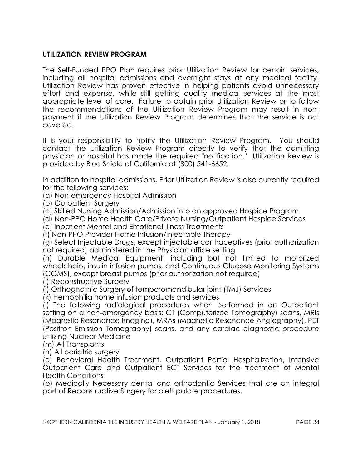## **UTILIZATION REVIEW PROGRAM**

The Self-Funded PPO Plan requires prior Utilization Review for certain services, including all hospital admissions and overnight stays at any medical facility. Utilization Review has proven effective in helping patients avoid unnecessary effort and expense, while still getting quality medical services at the most appropriate level of care. Failure to obtain prior Utilization Review or to follow the recommendations of the Utilization Review Program may result in nonpayment if the Utilization Review Program determines that the service is not covered.

It is your responsibility to notify the Utilization Review Program. You should contact the Utilization Review Program directly to verify that the admitting physician or hospital has made the required "notification." Utilization Review is provided by Blue Shield of California at (800) 541-6652.

In addition to hospital admissions, Prior Utilization Review is also currently required for the following services:

(a) Non-emergency Hospital Admission

(b) Outpatient Surgery

(c) Skilled Nursing Admission/Admission into an approved Hospice Program

(d) Non-PPO Home Health Care/Private Nursing/Outpatient Hospice Services

(e) Inpatient Mental and Emotional Illness Treatments

(f) Non-PPO Provider Home Infusion/Injectable Therapy

(g) Select Injectable Drugs, except injectable contraceptives (prior authorization not required) administered in the Physician office setting

(h) Durable Medical Equipment, including but not limited to motorized wheelchairs, insulin infusion pumps, and Continuous Glucose Monitoring Systems (CGMS), except breast pumps (prior authorization not required)

(i) Reconstructive Surgery

(j) Orthognathic Surgery of temporomandibular joint (TMJ) Services

(k) Hemophilia home infusion products and services

(l) The following radiological procedures when performed in an Outpatient setting on a non-emergency basis: CT (Computerized Tomography) scans, MRIs (Magnetic Resonance Imaging), MRAs (Magnetic Resonance Angiography), PET (Positron Emission Tomography) scans, and any cardiac diagnostic procedure utilizing Nuclear Medicine

(m) All Transplants

(n) All bariatric surgery

(o) Behavioral Health Treatment, Outpatient Partial Hospitalization, Intensive Outpatient Care and Outpatient ECT Services for the treatment of Mental Health Conditions

(p) Medically Necessary dental and orthodontic Services that are an integral part of Reconstructive Surgery for cleft palate procedures.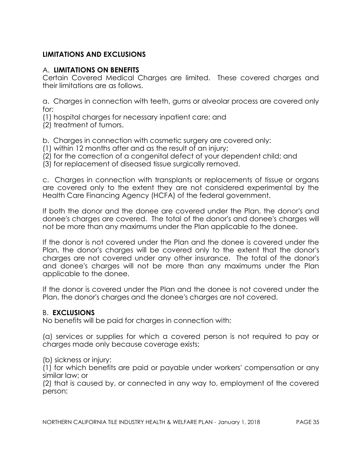## **LIMITATIONS AND EXCLUSIONS**

### A. **LIMITATIONS ON BENEFITS**

Certain Covered Medical Charges are limited. These covered charges and their limitations are as follows.

a. Charges in connection with teeth, gums or alveolar process are covered only for:

(1) hospital charges for necessary inpatient care; and

(2) treatment of tumors.

b. Charges in connection with cosmetic surgery are covered only:

(1) within 12 months after and as the result of an injury;

(2) for the correction of a congenital defect of your dependent child; and

(3) for replacement of diseased tissue surgically removed.

c. Charges in connection with transplants or replacements of tissue or organs are covered only to the extent they are not considered experimental by the Health Care Financing Agency (HCFA) of the federal government.

If both the donor and the donee are covered under the Plan, the donor's and donee's charges are covered. The total of the donor's and donee's charges will not be more than any maximums under the Plan applicable to the donee.

If the donor is not covered under the Plan and the donee is covered under the Plan, the donor's charges will be covered only to the extent that the donor's charges are not covered under any other insurance. The total of the donor's and donee's charges will not be more than any maximums under the Plan applicable to the donee.

If the donor is covered under the Plan and the donee is not covered under the Plan, the donor's charges and the donee's charges are not covered.

### B. **EXCLUSIONS**

No benefits will be paid for charges in connection with:

(a) services or supplies for which a covered person is not required to pay or charges made only because coverage exists;

(b) sickness or injury:

(1) for which benefits are paid or payable under workers' compensation or any similar law; or

(2) that is caused by, or connected in any way to, employment of the covered person;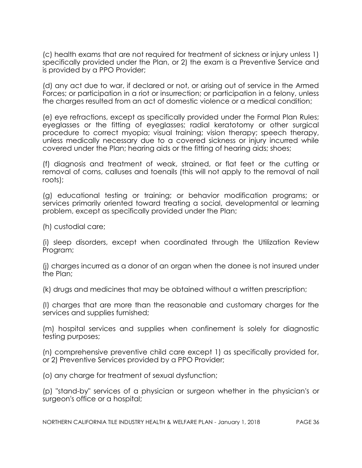(c) health exams that are not required for treatment of sickness or injury unless 1) specifically provided under the Plan, or 2) the exam is a Preventive Service and is provided by a PPO Provider;

(d) any act due to war, if declared or not, or arising out of service in the Armed Forces; or participation in a riot or insurrection; or participation in a felony, unless the charges resulted from an act of domestic violence or a medical condition;

(e) eye refractions, except as specifically provided under the Formal Plan Rules; eyeglasses or the fitting of eyeglasses; radial keratotomy or other surgical procedure to correct myopia; visual training; vision therapy; speech therapy, unless medically necessary due to a covered sickness or injury incurred while covered under the Plan; hearing aids or the fitting of hearing aids; shoes;

(f) diagnosis and treatment of weak, strained, or flat feet or the cutting or removal of corns, calluses and toenails (this will not apply to the removal of nail roots);

(g) educational testing or training; or behavior modification programs; or services primarily oriented toward treating a social, developmental or learning problem, except as specifically provided under the Plan;

(h) custodial care;

(i) sleep disorders, except when coordinated through the Utilization Review Program;

(j) charges incurred as a donor of an organ when the donee is not insured under the Plan;

(k) drugs and medicines that may be obtained without a written prescription;

(I) charges that are more than the reasonable and customary charges for the services and supplies furnished;

(m) hospital services and supplies when confinement is solely for diagnostic testing purposes;

(n) comprehensive preventive child care except 1) as specifically provided for, or 2) Preventive Services provided by a PPO Provider;

(o) any charge for treatment of sexual dysfunction;

(p) "stand-by" services of a physician or surgeon whether in the physician's or surgeon's office or a hospital;

NORTHERN CALIFORNIA TILE INDUSTRY HEALTH & WELFARE PLAN - January 1, 2018 PAGE 36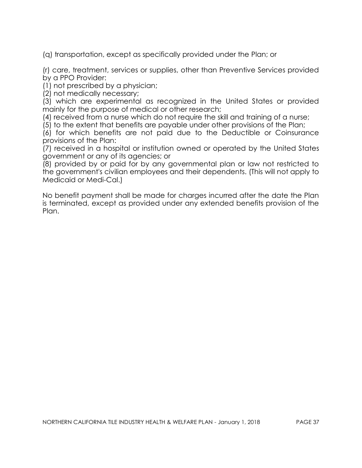(q) transportation, except as specifically provided under the Plan; or

(r) care, treatment, services or supplies, other than Preventive Services provided by a PPO Provider:

(1) not prescribed by a physician;

(2) not medically necessary;

(3) which are experimental as recognized in the United States or provided mainly for the purpose of medical or other research;

(4) received from a nurse which do not require the skill and training of a nurse;

(5) to the extent that benefits are payable under other provisions of the Plan;

(6) for which benefits are not paid due to the Deductible or Coinsurance provisions of the Plan:

(7) received in a hospital or institution owned or operated by the United States government or any of its agencies; or

(8) provided by or paid for by any governmental plan or law not restricted to the government's civilian employees and their dependents. (This will not apply to Medicaid or Medi-Cal.)

No benefit payment shall be made for charges incurred after the date the Plan is terminated, except as provided under any extended benefits provision of the Plan.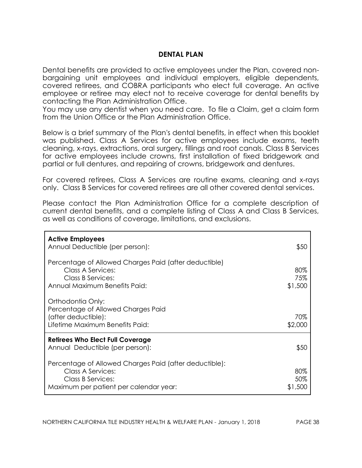### **DENTAL PLAN**

Dental benefits are provided to active employees under the Plan, covered nonbargaining unit employees and individual employers, eligible dependents, covered retirees, and COBRA participants who elect full coverage. An active employee or retiree may elect not to receive coverage for dental benefits by contacting the Plan Administration Office.

You may use any dentist when you need care. To file a Claim, get a claim form from the Union Office or the Plan Administration Office.

Below is a brief summary of the Plan's dental benefits, in effect when this booklet was published. Class A Services for active employees include exams, teeth cleaning, x-rays, extractions, oral surgery, fillings and root canals. Class B Services for active employees include crowns, first installation of fixed bridgework and partial or full dentures, and repairing of crowns, bridgework and dentures.

For covered retirees, Class A Services are routine exams, cleaning and x-rays only. Class B Services for covered retirees are all other covered dental services.

Please contact the Plan Administration Office for a complete description of current dental benefits, and a complete listing of Class A and Class B Services, as well as conditions of coverage, limitations, and exclusions.

| <b>Active Employees</b><br>Annual Deductible (per person):                                                                                        | \$50                  |
|---------------------------------------------------------------------------------------------------------------------------------------------------|-----------------------|
| Percentage of Allowed Charges Paid (after deductible)<br><b>Class A Services:</b><br><b>Class B Services:</b><br>Annual Maximum Benefits Paid:    | 80%<br>75%<br>\$1,500 |
| Orthodontia Only:<br>Percentage of Allowed Charges Paid<br>(after deductible):<br>Lifetime Maximum Benefits Paid:                                 | 70%<br>\$2,000        |
| <b>Retirees Who Elect Full Coverage</b><br>Annual Deductible (per person):                                                                        | \$50                  |
| Percentage of Allowed Charges Paid (after deductible):<br><b>Class A Services:</b><br>Class B Services:<br>Maximum per patient per calendar year: | 80%<br>50%<br>\$1,500 |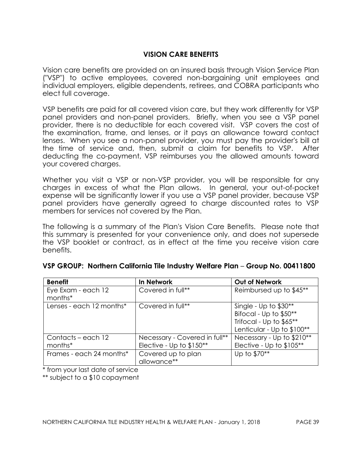## **VISION CARE BENEFITS**

Vision care benefits are provided on an insured basis through Vision Service Plan ("VSP") to active employees, covered non-bargaining unit employees and individual employers, eligible dependents, retirees, and COBRA participants who elect full coverage.

VSP benefits are paid for all covered vision care, but they work differently for VSP panel providers and non-panel providers. Briefly, when you see a VSP panel provider, there is no deductible for each covered visit. VSP covers the cost of the examination, frame, and lenses, or it pays an allowance toward contact lenses. When you see a non-panel provider, you must pay the provider's bill at the time of service and, then, submit a claim for benefits to VSP. After deducting the co-payment, VSP reimburses you the allowed amounts toward your covered charges.

Whether you visit a VSP or non-VSP provider, you will be responsible for any charges in excess of what the Plan allows. In general, your out-of-pocket expense will be significantly lower if you use a VSP panel provider, because VSP panel providers have generally agreed to charge discounted rates to VSP members for services not covered by the Plan.

The following is a summary of the Plan's Vision Care Benefits. Please note that this summary is presented for your convenience only, and does not supersede the VSP booklet or contract, as in effect at the time you receive vision care benefits.

| <b>Benefit</b>                | <b>In Network</b>                                          | <b>Out of Network</b>                                                                                     |
|-------------------------------|------------------------------------------------------------|-----------------------------------------------------------------------------------------------------------|
| Eye Exam - each 12<br>months* | Covered in full**                                          | Reimbursed up to \$45**                                                                                   |
| Lenses - each 12 months*      | Covered in full**                                          | Single - Up to $$30**$<br>Bifocal - Up to \$50**<br>Trifocal - Up to \$65**<br>Lenticular - Up to \$100** |
| Contacts – each 12<br>months* | Necessary - Covered in full**<br>Elective - Up to $$150**$ | Necessary - Up to \$210**<br>Elective - Up to \$105**                                                     |
| Frames - each 24 months*      | Covered up to plan<br>allowance**                          | Up to \$70**                                                                                              |

### **VSP GROUP: Northern California Tile Industry Welfare Plan** – **Group No. 00411800**

\* from your last date of service

\*\* subject to a \$10 copayment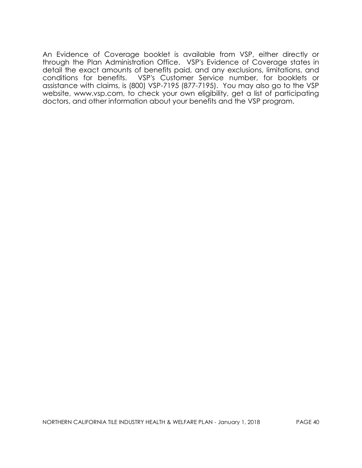An Evidence of Coverage booklet is available from VSP, either directly or through the Plan Administration Office. VSP's Evidence of Coverage states in detail the exact amounts of benefits paid, and any exclusions, limitations, and conditions for benefits. VSP's Customer Service number, for booklets or assistance with claims, is (800) VSP-7195 (877-7195). You may also go to the VSP website, www.vsp.com, to check your own eligibility, get a list of participating doctors, and other information about your benefits and the VSP program.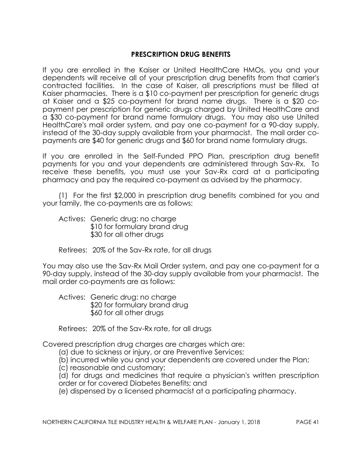## **PRESCRIPTION DRUG BENEFITS**

If you are enrolled in the Kaiser or United HealthCare HMOs, you and your dependents will receive all of your prescription drug benefits from that carrier's contracted facilities. In the case of Kaiser, all prescriptions must be filled at Kaiser pharmacies. There is a \$10 co-payment per prescription for generic drugs at Kaiser and a \$25 co-payment for brand name drugs. There is a \$20 copayment per prescription for generic drugs charged by United HealthCare and a \$30 co-payment for brand name formulary drugs. You may also use United HealthCare's mail order system, and pay one co-payment for a 90-day supply, instead of the 30-day supply available from your pharmacist. The mail order copayments are \$40 for generic drugs and \$60 for brand name formulary drugs.

If you are enrolled in the Self-Funded PPO Plan, prescription drug benefit payments for you and your dependents are administered through Sav-Rx. To receive these benefits, you must use your Sav-Rx card at a participating pharmacy and pay the required co-payment as advised by the pharmacy.

(1) For the first \$2,000 in prescription drug benefits combined for you and your family, the co-payments are as follows:

Actives: Generic drug: no charge \$10 for formulary brand drug \$30 for all other drugs

Retirees: 20% of the Sav-Rx rate, for all drugs

You may also use the Sav-Rx Mail Order system, and pay one co-payment for a 90-day supply, instead of the 30-day supply available from your pharmacist. The mail order co-payments are as follows:

Actives: Generic drug: no charge \$20 for formulary brand drug \$60 for all other drugs

Retirees: 20% of the Sav-Rx rate, for all drugs

Covered prescription drug charges are charges which are:

(a) due to sickness or injury, or are Preventive Services;

(b) incurred while you and your dependents are covered under the Plan;

(c) reasonable and customary;

(d) for drugs and medicines that require a physician's written prescription order or for covered Diabetes Benefits; and

(e) dispensed by a licensed pharmacist at a participating pharmacy.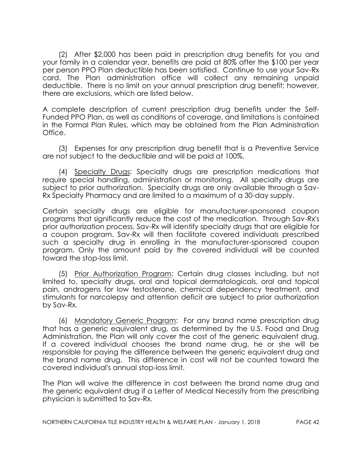(2) After \$2,000 has been paid in prescription drug benefits for you and your family in a calendar year, benefits are paid at 80% after the \$100 per year per person PPO Plan deductible has been satisfied. Continue to use your Sav-Rx card. The Plan administration office will collect any remaining unpaid deductible. There is no limit on your annual prescription drug benefit; however, there are exclusions, which are listed below.

A complete description of current prescription drug benefits under the Self-Funded PPO Plan, as well as conditions of coverage, and limitations is contained in the Formal Plan Rules, which may be obtained from the Plan Administration Office.

(3) Expenses for any prescription drug benefit that is a Preventive Service are not subject to the deductible and will be paid at 100%.

(4) Specialty Drugs: Specialty drugs are prescription medications that require special handling, administration or monitoring. All specialty drugs are subject to prior authorization. Specialty drugs are only available through a Sav-Rx Specialty Pharmacy and are limited to a maximum of a 30-day supply.

Certain specialty drugs are eligible for manufacturer-sponsored coupon programs that significantly reduce the cost of the medication. Through Sav-Rx's prior authorization process, Sav-Rx will identify specialty drugs that are eligible for a coupon program. Sav-Rx will then facilitate covered individuals prescribed such a specialty drug in enrolling in the manufacturer-sponsored coupon program. Only the amount paid by the covered individual will be counted toward the stop-loss limit.

(5) Prior Authorization Program: Certain drug classes including, but not limited to, specialty drugs, oral and topical dermatologicals, oral and topical pain, androgens for low testosterone, chemical dependency treatment, and stimulants for narcolepsy and attention deficit are subject to prior authorization by Sav-Rx.

(6) Mandatory Generic Program: For any brand name prescription drug that has a generic equivalent drug, as determined by the U.S. Food and Drug Administration, the Plan will only cover the cost of the generic equivalent drug. If a covered individual chooses the brand name drug, he or she will be responsible for paying the difference between the generic equivalent drug and the brand name drug. This difference in cost will not be counted toward the covered individual's annual stop-loss limit.

The Plan will waive the difference in cost between the brand name drug and the generic equivalent drug if a Letter of Medical Necessity from the prescribing physician is submitted to Sav-Rx.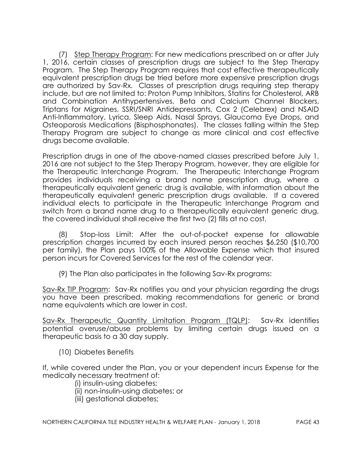(7) Step Therapy Program: For new medications prescribed on or after July 1, 2016, certain classes of prescription drugs are subject to the Step Therapy Program. The Step Therapy Program requires that cost effective therapeutically equivalent prescription drugs be tried before more expensive prescription drugs are authorized by Sav-Rx. Classes of prescription drugs requiring step therapy include, but are not limited to: Proton Pump Inhibitors, Statins for Cholesterol, ARB and Combination Antihypertensives, Beta and Calcium Channel Blockers, Triptans for Migraines, SSRI/SNRI Antidepressants, Cox 2 (Celebrex) and NSAID Anti-Inflammatory, Lyrica, Sleep Aids, Nasal Sprays, Glaucoma Eye Drops, and Osteoporosis Medications (Bisphosphonates). The classes falling within the Step Therapy Program are subject to change as more clinical and cost effective drugs become available.

Prescription drugs in one of the above-named classes prescribed before July 1, 2016 are not subject to the Step Therapy Program, however, they are eligible for the Therapeutic Interchange Program. The Therapeutic Interchange Program provides individuals receiving a brand name prescription drug, where a therapeutically equivalent generic drug is available, with information about the therapeutically equivalent generic prescription drugs available. If a covered individual elects to participate in the Therapeutic Interchange Program and switch from a brand name drug to a therapeutically equivalent generic drug, the covered individual shall receive the first two (2) fills at no cost.

(8) Stop-loss Limit: After the out-of-pocket expense for allowable prescription charges incurred by each insured person reaches \$6,250 (\$10,700 per family), the Plan pays 100% of the Allowable Expense which that insured person incurs for Covered Services for the rest of the calendar year.

(9) The Plan also participates in the following Sav-Rx programs:

Sav-Rx TIP Program: Sav-Rx notifies you and your physician regarding the drugs you have been prescribed, making recommendations for generic or brand name equivalents which are lower in cost.

Sav-Rx Therapeutic Quantity Limitation Program (TQLP): Sav-Rx identifies potential overuse/abuse problems by limiting certain drugs issued on a therapeutic basis to a 30 day supply.

(10) Diabetes Benefits

If, while covered under the Plan, you or your dependent incurs Expense for the medically necessary treatment of:

(i) insulin-using diabetes;

- (ii) non-insulin-using diabetes; or
- (iii) gestational diabetes;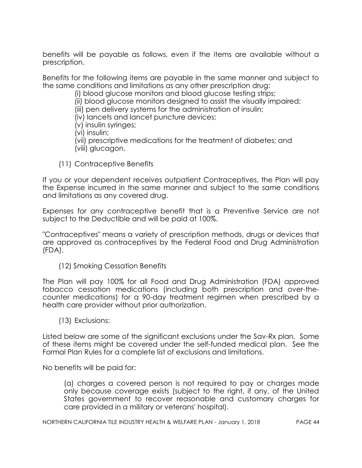benefits will be payable as follows, even if the items are available without a prescription.

Benefits for the following items are payable in the same manner and subject to the same conditions and limitations as any other prescription drug:

(i) blood glucose monitors and blood glucose testing strips;

(ii) blood glucose monitors designed to assist the visually impaired;

(iii) pen delivery systems for the administration of insulin;

(iv) lancets and lancet puncture devices;

(v) insulin syringes;

(vi) insulin;

(vii) prescriptive medications for the treatment of diabetes; and (viii) glucagon.

(11) Contraceptive Benefits

If you or your dependent receives outpatient Contraceptives, the Plan will pay the Expense incurred in the same manner and subject to the same conditions and limitations as any covered drug.

Expenses for any contraceptive benefit that is a Preventive Service are not subject to the Deductible and will be paid at 100%.

"Contraceptives" means a variety of prescription methods, drugs or devices that are approved as contraceptives by the Federal Food and Drug Administration (FDA).

(12) Smoking Cessation Benefits

The Plan will pay 100% for all Food and Drug Administration (FDA) approved tobacco cessation medications (including both prescription and over-thecounter medications) for a 90-day treatment regimen when prescribed by a health care provider without prior authorization.

(13) Exclusions:

Listed below are some of the significant exclusions under the Sav-Rx plan. Some of these items might be covered under the self-funded medical plan. See the Formal Plan Rules for a complete list of exclusions and limitations.

No benefits will be paid for:

(a) charges a covered person is not required to pay or charges made only because coverage exists (subject to the right, if any, of the United States government to recover reasonable and customary charges for care provided in a military or veterans' hospital).

NORTHERN CALIFORNIA TILE INDUSTRY HEALTH & WELFARE PLAN - January 1, 2018 PAGE 44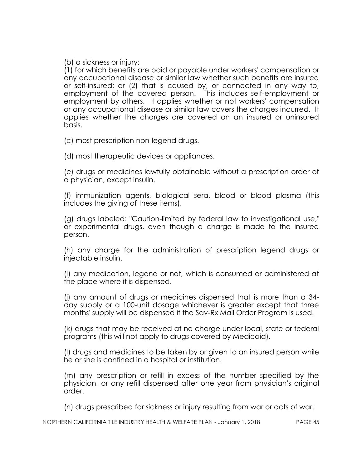(b) a sickness or injury:

(1) for which benefits are paid or payable under workers' compensation or any occupational disease or similar law whether such benefits are insured or self-insured; or (2) that is caused by, or connected in any way to, employment of the covered person. This includes self-employment or employment by others. It applies whether or not workers' compensation or any occupational disease or similar law covers the charges incurred. It applies whether the charges are covered on an insured or uninsured basis.

(c) most prescription non-legend drugs.

(d) most therapeutic devices or appliances.

(e) drugs or medicines lawfully obtainable without a prescription order of a physician, except insulin.

(f) immunization agents, biological sera, blood or blood plasma (this includes the giving of these items).

(g) drugs labeled: "Caution-limited by federal law to investigational use," or experimental drugs, even though a charge is made to the insured person.

(h) any charge for the administration of prescription legend drugs or injectable insulin.

(I) any medication, legend or not, which is consumed or administered at the place where it is dispensed.

(j) any amount of drugs or medicines dispensed that is more than a 34 day supply or a 100-unit dosage whichever is greater except that three months' supply will be dispensed if the Sav-Rx Mail Order Program is used.

(k) drugs that may be received at no charge under local, state or federal programs (this will not apply to drugs covered by Medicaid).

(I) drugs and medicines to be taken by or given to an insured person while he or she is confined in a hospital or institution.

(m) any prescription or refill in excess of the number specified by the physician, or any refill dispensed after one year from physician's original order.

(n) drugs prescribed for sickness or injury resulting from war or acts of war.

NORTHERN CALIFORNIA TILE INDUSTRY HEALTH & WELFARE PLAN - January 1, 2018 PAGE 45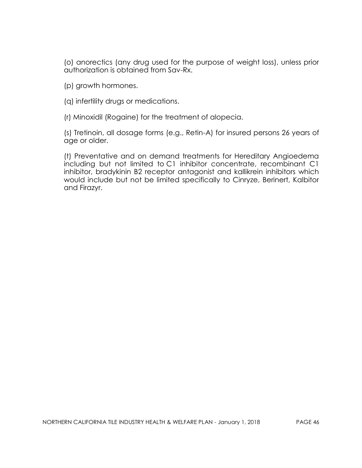(o) anorectics (any drug used for the purpose of weight loss), unless prior authorization is obtained from Sav-Rx.

(p) growth hormones.

(q) infertility drugs or medications.

(r) Minoxidil (Rogaine) for the treatment of alopecia.

(s) Tretinoin, all dosage forms (e.g., Retin-A) for insured persons 26 years of age or older.

(t) Preventative and on demand treatments for Hereditary Angioedema including but not limited to C1 inhibitor concentrate, recombinant C1 inhibitor, bradykinin B2 receptor antagonist and kallikrein inhibitors which would include but not be limited specifically to Cinryze, Berinert, Kalbitor and Firazyr.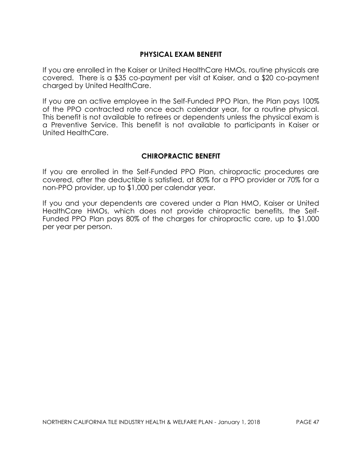### **PHYSICAL EXAM BENEFIT**

If you are enrolled in the Kaiser or United HealthCare HMOs, routine physicals are covered. There is a \$35 co-payment per visit at Kaiser, and a \$20 co-payment charged by United HealthCare.

If you are an active employee in the Self-Funded PPO Plan, the Plan pays 100% of the PPO contracted rate once each calendar year, for a routine physical. This benefit is not available to retirees or dependents unless the physical exam is a Preventive Service. This benefit is not available to participants in Kaiser or United HealthCare.

## **CHIROPRACTIC BENEFIT**

If you are enrolled in the Self-Funded PPO Plan, chiropractic procedures are covered, after the deductible is satisfied, at 80% for a PPO provider or 70% for a non-PPO provider, up to \$1,000 per calendar year.

If you and your dependents are covered under a Plan HMO, Kaiser or United HealthCare HMOs, which does not provide chiropractic benefits, the Self-Funded PPO Plan pays 80% of the charges for chiropractic care, up to \$1,000 per year per person.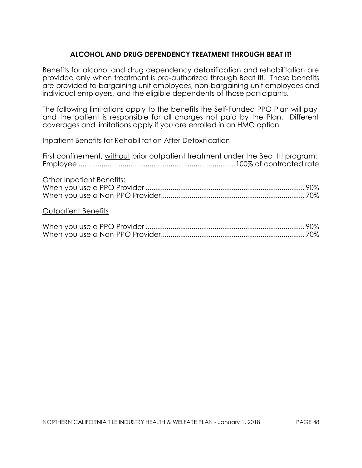# **ALCOHOL AND DRUG DEPENDENCY TREATMENT THROUGH BEAT IT!**

Benefits for alcohol and drug dependency detoxification and rehabilitation are provided only when treatment is pre-authorized through Beat It!. These benefits are provided to bargaining unit employees, non-bargaining unit employees and individual employers, and the eligible dependents of those participants.

The following limitations apply to the benefits the Self-Funded PPO Plan will pay, and the patient is responsible for all charges not paid by the Plan. Different coverages and limitations apply if you are enrolled in an HMO option.

### Inpatient Benefits for Rehabilitation After Detoxification

First confinement, without prior outpatient treatment under the Beat It! program: Employee ..................................................................................100% of contracted rate Other Inpatient Benefits: When you use a PPO Provider ................................................................................... 90% When you use a Non-PPO Provider........................................................................... 70% Outpatient Benefits When you use a PPO Provider ................................................................................... 90% When you use a Non-PPO Provider........................................................................... 70%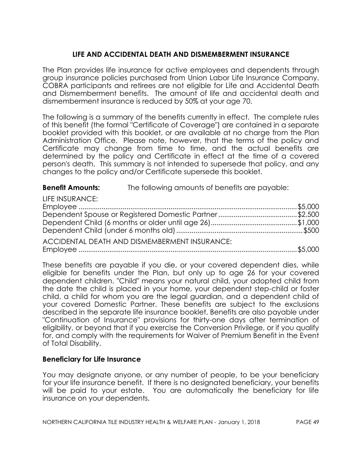# **LIFE AND ACCIDENTAL DEATH AND DISMEMBERMENT INSURANCE**

The Plan provides life insurance for active employees and dependents through group insurance policies purchased from Union Labor Life Insurance Company. COBRA participants and retirees are not eligible for Life and Accidental Death and Dismemberment benefits. The amount of life and accidental death and dismemberment insurance is reduced by 50% at your age 70.

The following is a summary of the benefits currently in effect. The complete rules of this benefit (the formal "Certificate of Coverage") are contained in a separate booklet provided with this booklet, or are available at no charge from the Plan Administration Office. Please note, however, that the terms of the policy and Certificate may change from time to time, and the actual benefits are determined by the policy and Certificate in effect at the time of a covered person's death. This summary is not intended to supersede that policy, and any changes to the policy and/or Certificate supersede this booklet.

## **Benefit Amounts:** The following amounts of benefits are payable:

| LIFE INSURANCE:                               |  |
|-----------------------------------------------|--|
|                                               |  |
|                                               |  |
|                                               |  |
|                                               |  |
| ACCIDENTAL DEATH AND DISMEMBERMENT INSURANCE: |  |
|                                               |  |

These benefits are payable if you die, or your covered dependent dies, while eligible for benefits under the Plan, but only up to age 26 for your covered dependent children. "Child" means your natural child, your adopted child from the date the child is placed in your home, your dependent step-child or foster child, a child for whom you are the legal guardian, and a dependent child of your covered Domestic Partner. These benefits are subject to the exclusions described in the separate life insurance booklet. Benefits are also payable under "Continuation of Insurance" provisions for thirty-one days after termination of eligibility, or beyond that if you exercise the Conversion Privilege, or if you qualify for, and comply with the requirements for Waiver of Premium Benefit in the Event of Total Disability.

### **Beneficiary for Life Insurance**

You may designate anyone, or any number of people, to be your beneficiary for your life insurance benefit. If there is no designated beneficiary, your benefits will be paid to your estate. You are automatically the beneficiary for life insurance on your dependents.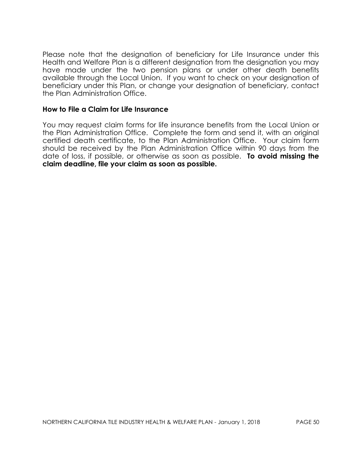Please note that the designation of beneficiary for Life Insurance under this Health and Welfare Plan is a different designation from the designation you may have made under the two pension plans or under other death benefits available through the Local Union. If you want to check on your designation of beneficiary under this Plan, or change your designation of beneficiary, contact the Plan Administration Office.

### **How to File a Claim for Life Insurance**

You may request claim forms for life insurance benefits from the Local Union or the Plan Administration Office. Complete the form and send it, with an original certified death certificate, to the Plan Administration Office. Your claim form should be received by the Plan Administration Office within 90 days from the date of loss, if possible, or otherwise as soon as possible. **To avoid missing the claim deadline, file your claim as soon as possible.**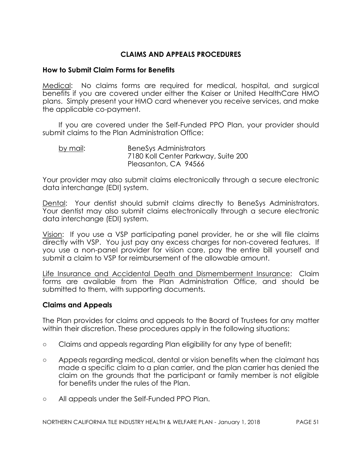# **CLAIMS AND APPEALS PROCEDURES**

#### **How to Submit Claim Forms for Benefits**

Medical: No claims forms are required for medical, hospital, and surgical benefits if you are covered under either the Kaiser or United HealthCare HMO plans. Simply present your HMO card whenever you receive services, and make the applicable co-payment.

If you are covered under the Self-Funded PPO Plan, your provider should submit claims to the Plan Administration Office:

by mail: BeneSys Administrators 7180 Koll Center Parkway, Suite 200 Pleasanton, CA 94566

Your provider may also submit claims electronically through a secure electronic data interchange (EDI) system.

Dental: Your dentist should submit claims directly to BeneSys Administrators. Your dentist may also submit claims electronically through a secure electronic data interchange (EDI) system.

Vision: If you use a VSP participating panel provider, he or she will file claims directly with VSP. You just pay any excess charges for non-covered features. If you use a non-panel provider for vision care, pay the entire bill yourself and submit a claim to VSP for reimbursement of the allowable amount.

Life Insurance and Accidental Death and Dismemberment Insurance: Claim forms are available from the Plan Administration Office, and should be submitted to them, with supporting documents.

#### **Claims and Appeals**

The Plan provides for claims and appeals to the Board of Trustees for any matter within their discretion. These procedures apply in the following situations:

- Claims and appeals regarding Plan eligibility for any type of benefit;
- Appeals regarding medical, dental or vision benefits when the claimant has made a specific claim to a plan carrier, and the plan carrier has denied the claim on the grounds that the participant or family member is not eligible for benefits under the rules of the Plan.
- All appeals under the Self-Funded PPO Plan.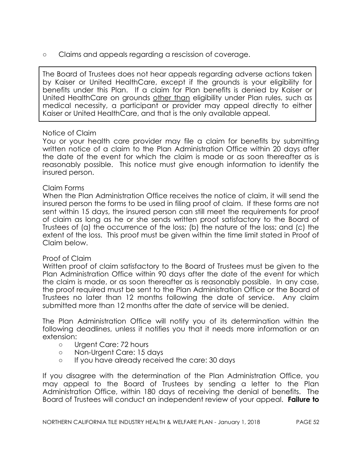○ Claims and appeals regarding a rescission of coverage.

The Board of Trustees does not hear appeals regarding adverse actions taken by Kaiser or United HealthCare, except if the grounds is your eligibility for benefits under this Plan. If a claim for Plan benefits is denied by Kaiser or United HealthCare on grounds other than eligibility under Plan rules, such as medical necessity, a participant or provider may appeal directly to either Kaiser or United HealthCare, and that is the only available appeal.

## Notice of Claim

You or your health care provider may file a claim for benefits by submitting written notice of a claim to the Plan Administration Office within 20 days after the date of the event for which the claim is made or as soon thereafter as is reasonably possible. This notice must give enough information to identify the insured person.

### Claim Forms

When the Plan Administration Office receives the notice of claim, it will send the insured person the forms to be used in filing proof of claim. If these forms are not sent within 15 days, the insured person can still meet the requirements for proof of claim as long as he or she sends written proof satisfactory to the Board of Trustees of (a) the occurrence of the loss; (b) the nature of the loss; and (c) the extent of the loss. This proof must be given within the time limit stated in Proof of Claim below.

### Proof of Claim

Written proof of claim satisfactory to the Board of Trustees must be given to the Plan Administration Office within 90 days after the date of the event for which the claim is made, or as soon thereafter as is reasonably possible. In any case, the proof required must be sent to the Plan Administration Office or the Board of Trustees no later than 12 months following the date of service. Any claim submitted more than 12 months after the date of service will be denied.

The Plan Administration Office will notify you of its determination within the following deadlines, unless it notifies you that it needs more information or an extension:

- Urgent Care: 72 hours
- Non-Urgent Care: 15 days
- o If you have already received the care: 30 days

If you disagree with the determination of the Plan Administration Office, you may appeal to the Board of Trustees by sending a letter to the Plan Administration Office, within 180 days of receiving the denial of benefits. The Board of Trustees will conduct an independent review of your appeal. **Failure to**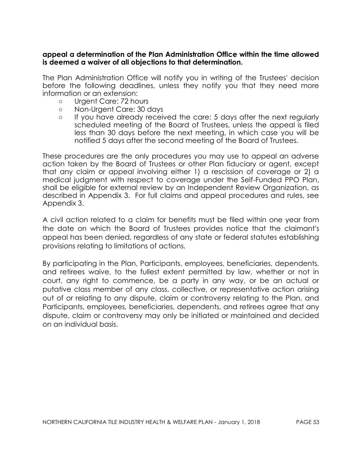### **appeal a determination of the Plan Administration Office within the time allowed is deemed a waiver of all objections to that determination.**

The Plan Administration Office will notify you in writing of the Trustees' decision before the following deadlines, unless they notify you that they need more information or an extension:

- Urgent Care: 72 hours
- Non-Urgent Care: 30 days
- If you have already received the care: 5 days after the next regularly scheduled meeting of the Board of Trustees, unless the appeal is filed less than 30 days before the next meeting, in which case you will be notified 5 days after the second meeting of the Board of Trustees.

These procedures are the only procedures you may use to appeal an adverse action taken by the Board of Trustees or other Plan fiduciary or agent, except that any claim or appeal involving either 1) a rescission of coverage or 2) a medical judgment with respect to coverage under the Self-Funded PPO Plan, shall be eligible for external review by an Independent Review Organization, as described in Appendix 3. For full claims and appeal procedures and rules, see Appendix 3.

A civil action related to a claim for benefits must be filed within one year from the date on which the Board of Trustees provides notice that the claimant's appeal has been denied, regardless of any state or federal statutes establishing provisions relating to limitations of actions.

By participating in the Plan, Participants, employees, beneficiaries, dependents, and retirees waive, to the fullest extent permitted by law, whether or not in court, any right to commence, be a party in any way, or be an actual or putative class member of any class, collective, or representative action arising out of or relating to any dispute, claim or controversy relating to the Plan, and Participants, employees, beneficiaries, dependents, and retirees agree that any dispute, claim or controversy may only be initiated or maintained and decided on an individual basis.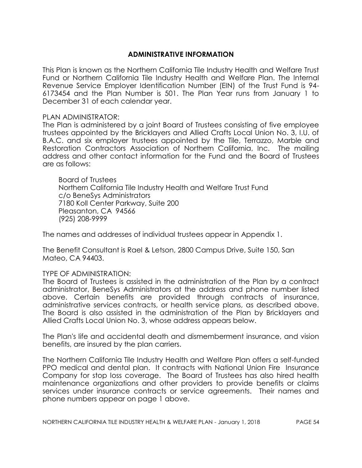### **ADMINISTRATIVE INFORMATION**

This Plan is known as the Northern California Tile Industry Health and Welfare Trust Fund or Northern California Tile Industry Health and Welfare Plan. The Internal Revenue Service Employer Identification Number (EIN) of the Trust Fund is 94- 6173454 and the Plan Number is 501. The Plan Year runs from January 1 to December 31 of each calendar year.

#### PLAN ADMINISTRATOR:

The Plan is administered by a joint Board of Trustees consisting of five employee trustees appointed by the Bricklayers and Allied Crafts Local Union No. 3, I.U. of B.A.C. and six employer trustees appointed by the Tile, Terrazzo, Marble and Restoration Contractors Association of Northern California, Inc. The mailing address and other contact information for the Fund and the Board of Trustees are as follows:

Board of Trustees Northern California Tile Industry Health and Welfare Trust Fund c/o BeneSys Administrators 7180 Koll Center Parkway, Suite 200 Pleasanton, CA 94566 (925) 208-9999

The names and addresses of individual trustees appear in Appendix 1.

The Benefit Consultant is Rael & Letson, 2800 Campus Drive, Suite 150, San Mateo, CA 94403.

#### TYPE OF ADMINISTRATION:

The Board of Trustees is assisted in the administration of the Plan by a contract administrator, BeneSys Administrators at the address and phone number listed above. Certain benefits are provided through contracts of insurance, administrative services contracts, or health service plans, as described above. The Board is also assisted in the administration of the Plan by Bricklayers and Allied Crafts Local Union No. 3, whose address appears below.

The Plan's life and accidental death and dismemberment insurance, and vision benefits, are insured by the plan carriers.

The Northern California Tile Industry Health and Welfare Plan offers a self-funded PPO medical and dental plan. It contracts with National Union Fire Insurance Company for stop loss coverage. The Board of Trustees has also hired health maintenance organizations and other providers to provide benefits or claims services under insurance contracts or service agreements. Their names and phone numbers appear on page 1 above.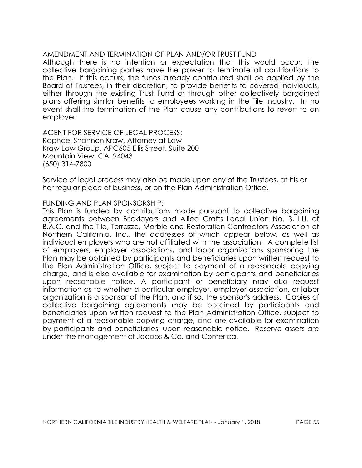#### AMENDMENT AND TERMINATION OF PLAN AND/OR TRUST FUND

Although there is no intention or expectation that this would occur, the collective bargaining parties have the power to terminate all contributions to the Plan. If this occurs, the funds already contributed shall be applied by the Board of Trustees, in their discretion, to provide benefits to covered individuals, either through the existing Trust Fund or through other collectively bargained plans offering similar benefits to employees working in the Tile Industry. In no event shall the termination of the Plan cause any contributions to revert to an employer.

AGENT FOR SERVICE OF LEGAL PROCESS: Raphael Shannon Kraw, Attorney at Law Kraw Law Group, APC605 Ellis Street, Suite 200 Mountain View, CA 94043 (650) 314-7800

Service of legal process may also be made upon any of the Trustees, at his or her regular place of business, or on the Plan Administration Office.

#### FUNDING AND PLAN SPONSORSHIP:

This Plan is funded by contributions made pursuant to collective bargaining agreements between Bricklayers and Allied Crafts Local Union No. 3, I.U. of B.A.C. and the Tile, Terrazzo, Marble and Restoration Contractors Association of Northern California, Inc., the addresses of which appear below, as well as individual employers who are not affiliated with the association. A complete list of employers, employer associations, and labor organizations sponsoring the Plan may be obtained by participants and beneficiaries upon written request to the Plan Administration Office, subject to payment of a reasonable copying charge, and is also available for examination by participants and beneficiaries upon reasonable notice. A participant or beneficiary may also request information as to whether a particular employer, employer association, or labor organization is a sponsor of the Plan, and if so, the sponsor's address. Copies of collective bargaining agreements may be obtained by participants and beneficiaries upon written request to the Plan Administration Office, subject to payment of a reasonable copying charge, and are available for examination by participants and beneficiaries, upon reasonable notice. Reserve assets are under the management of Jacobs & Co. and Comerica.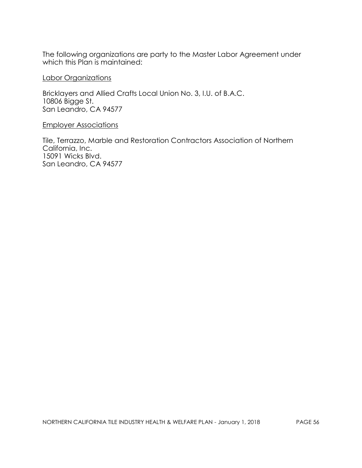The following organizations are party to the Master Labor Agreement under which this Plan is maintained:

#### Labor Organizations

Bricklayers and Allied Crafts Local Union No. 3, I.U. of B.A.C. 10806 Bigge St. San Leandro, CA 94577

#### Employer Associations

Tile, Terrazzo, Marble and Restoration Contractors Association of Northern California, Inc. 15091 Wicks Blvd. San Leandro, CA 94577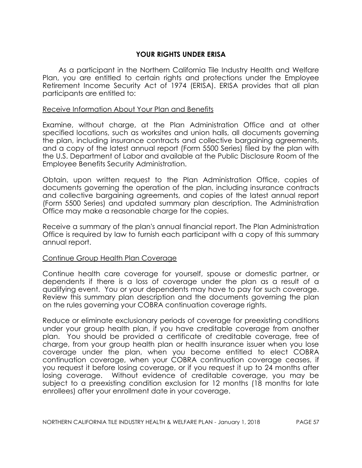## **YOUR RIGHTS UNDER ERISA**

As a participant in the Northern California Tile Industry Health and Welfare Plan, you are entitled to certain rights and protections under the Employee Retirement Income Security Act of 1974 (ERISA). ERISA provides that all plan participants are entitled to:

### Receive Information About Your Plan and Benefits

Examine, without charge, at the Plan Administration Office and at other specified locations, such as worksites and union halls, all documents governing the plan, including insurance contracts and collective bargaining agreements, and a copy of the latest annual report (Form 5500 Series) filed by the plan with the U.S. Department of Labor and available at the Public Disclosure Room of the Employee Benefits Security Administration.

Obtain, upon written request to the Plan Administration Office, copies of documents governing the operation of the plan, including insurance contracts and collective bargaining agreements, and copies of the latest annual report (Form 5500 Series) and updated summary plan description. The Administration Office may make a reasonable charge for the copies.

Receive a summary of the plan's annual financial report. The Plan Administration Office is required by law to furnish each participant with a copy of this summary annual report.

### Continue Group Health Plan Coverage

Continue health care coverage for yourself, spouse or domestic partner, or dependents if there is a loss of coverage under the plan as a result of a qualifying event. You or your dependents may have to pay for such coverage. Review this summary plan description and the documents governing the plan on the rules governing your COBRA continuation coverage rights.

Reduce or eliminate exclusionary periods of coverage for preexisting conditions under your group health plan, if you have creditable coverage from another plan. You should be provided a certificate of creditable coverage, free of charge, from your group health plan or health insurance issuer when you lose coverage under the plan, when you become entitled to elect COBRA continuation coverage, when your COBRA continuation coverage ceases, if you request it before losing coverage, or if you request it up to 24 months after losing coverage. Without evidence of creditable coverage, you may be subject to a preexisting condition exclusion for 12 months (18 months for late enrollees) after your enrollment date in your coverage.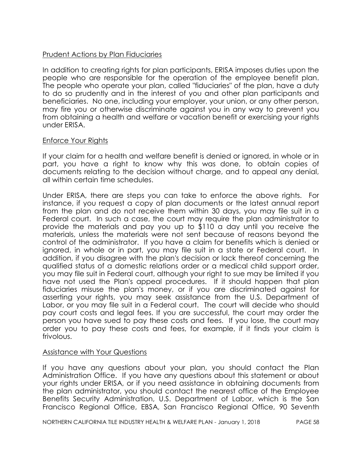## Prudent Actions by Plan Fiduciaries

In addition to creating rights for plan participants, ERISA imposes duties upon the people who are responsible for the operation of the employee benefit plan. The people who operate your plan, called "fiduciaries" of the plan, have a duty to do so prudently and in the interest of you and other plan participants and beneficiaries. No one, including your employer, your union, or any other person, may fire you or otherwise discriminate against you in any way to prevent you from obtaining a health and welfare or vacation benefit or exercising your rights under ERISA.

### Enforce Your Rights

If your claim for a health and welfare benefit is denied or ignored, in whole or in part, you have a right to know why this was done, to obtain copies of documents relating to the decision without charge, and to appeal any denial, all within certain time schedules.

Under ERISA, there are steps you can take to enforce the above rights. For instance, if you request a copy of plan documents or the latest annual report from the plan and do not receive them within 30 days, you may file suit in a Federal court. In such a case, the court may require the plan administrator to provide the materials and pay you up to \$110 a day until you receive the materials, unless the materials were not sent because of reasons beyond the control of the administrator. If you have a claim for benefits which is denied or ignored, in whole or in part, you may file suit in a state or Federal court. In addition, if you disagree with the plan's decision or lack thereof concerning the qualified status of a domestic relations order or a medical child support order, you may file suit in Federal court, although your right to sue may be limited if you have not used the Plan's appeal procedures. If it should happen that plan fiduciaries misuse the plan's money, or if you are discriminated against for asserting your rights, you may seek assistance from the U.S. Department of Labor, or you may file suit in a Federal court. The court will decide who should pay court costs and legal fees. If you are successful, the court may order the person you have sued to pay these costs and fees. If you lose, the court may order you to pay these costs and fees, for example, if it finds your claim is frivolous.

#### Assistance with Your Questions

If you have any questions about your plan, you should contact the Plan Administration Office. If you have any questions about this statement or about your rights under ERISA, or if you need assistance in obtaining documents from the plan administrator, you should contact the nearest office of the Employee Benefits Security Administration, U.S. Department of Labor, which is the San Francisco Regional Office, EBSA, San Francisco Regional Office, 90 Seventh

NORTHERN CALIFORNIA TILE INDUSTRY HEALTH & WELFARE PLAN - January 1, 2018 PAGE 58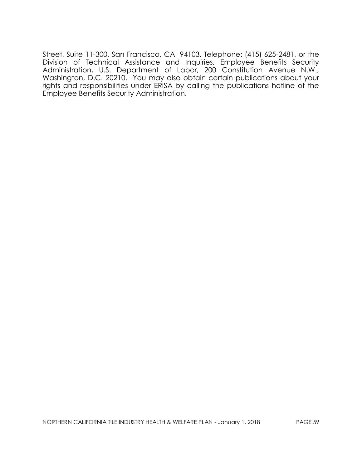Street, Suite 11-300, San Francisco, CA 94103, Telephone: (415) 625-2481, or the Division of Technical Assistance and Inquiries, Employee Benefits Security Administration, U.S. Department of Labor, 200 Constitution Avenue N.W., Washington, D.C. 20210. You may also obtain certain publications about your rights and responsibilities under ERISA by calling the publications hotline of the Employee Benefits Security Administration.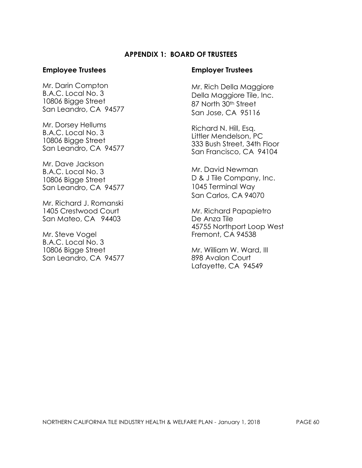### **APPENDIX 1: BOARD OF TRUSTEES**

#### **Employee Trustees**

Mr. Darin Compton B.A.C. Local No. 3 10806 Bigge Street San Leandro, CA 94577

Mr. Dorsey Hellums B.A.C. Local No. 3 10806 Bigge Street San Leandro, CA 94577

Mr. Dave Jackson B.A.C. Local No. 3 10806 Bigge Street San Leandro, CA 94577

Mr. Richard J. Romanski 1405 Crestwood Court San Mateo, CA 94403

Mr. Steve Vogel B.A.C. Local No. 3 10806 Bigge Street San Leandro, CA 94577

#### **Employer Trustees**

Mr. Rich Della Maggiore Della Maggiore Tile, Inc. 87 North 30<sup>th</sup> Street San Jose, CA 95116

Richard N. Hill, Esq. Littler Mendelson, PC 333 Bush Street, 34th Floor San Francisco, CA 94104

Mr. David Newman D & J Tile Company, Inc. 1045 Terminal Way San Carlos, CA 94070

Mr. Richard Papapietro De Anza Tile 45755 Northport Loop West Fremont, CA 94538

Mr. William W. Ward, III 898 Avalon Court Lafayette, CA 94549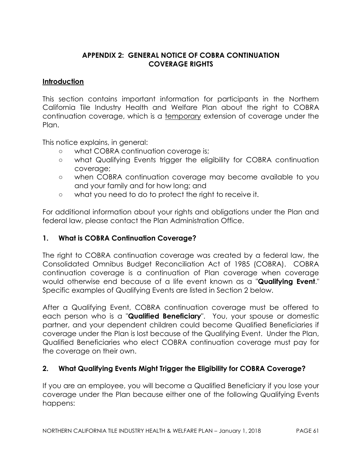# **APPENDIX 2: GENERAL NOTICE OF COBRA CONTINUATION COVERAGE RIGHTS**

## **Introduction**

This section contains important information for participants in the Northern California Tile Industry Health and Welfare Plan about the right to COBRA continuation coverage, which is a temporary extension of coverage under the Plan.

This notice explains, in general:

- what COBRA continuation coverage is;
- what Qualifying Events trigger the eligibility for COBRA continuation coverage;
- when COBRA continuation coverage may become available to you and your family and for how long; and
- what you need to do to protect the right to receive it.

For additional information about your rights and obligations under the Plan and federal law, please contact the Plan Administration Office.

# **1. What is COBRA Continuation Coverage?**

The right to COBRA continuation coverage was created by a federal law, the Consolidated Omnibus Budget Reconciliation Act of 1985 (COBRA). COBRA continuation coverage is a continuation of Plan coverage when coverage would otherwise end because of a life event known as a "**Qualifying Event**." Specific examples of Qualifying Events are listed in Section 2 below.

After a Qualifying Event, COBRA continuation coverage must be offered to each person who is a "**Qualified Beneficiary**". You, your spouse or domestic partner, and your dependent children could become Qualified Beneficiaries if coverage under the Plan is lost because of the Qualifying Event. Under the Plan, Qualified Beneficiaries who elect COBRA continuation coverage must pay for the coverage on their own.

# **2. What Qualifying Events Might Trigger the Eligibility for COBRA Coverage?**

If you are an employee, you will become a Qualified Beneficiary if you lose your coverage under the Plan because either one of the following Qualifying Events happens: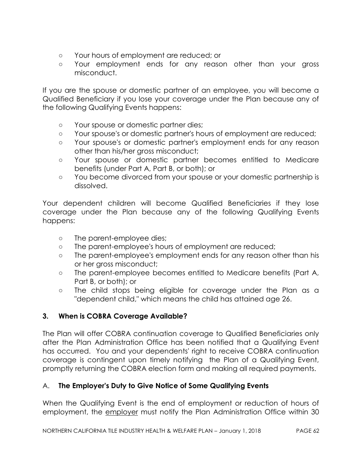- Your hours of employment are reduced; or
- Your employment ends for any reason other than your gross misconduct.

If you are the spouse or domestic partner of an employee, you will become a Qualified Beneficiary if you lose your coverage under the Plan because any of the following Qualifying Events happens:

- Your spouse or domestic partner dies;
- Your spouse's or domestic partner's hours of employment are reduced;
- Your spouse's or domestic partner's employment ends for any reason other than his/her gross misconduct;
- Your spouse or domestic partner becomes entitled to Medicare benefits (under Part A, Part B, or both); or
- You become divorced from your spouse or your domestic partnership is dissolved.

Your dependent children will become Qualified Beneficiaries if they lose coverage under the Plan because any of the following Qualifying Events happens:

- The parent-employee dies;
- The parent-employee's hours of employment are reduced;
- The parent-employee's employment ends for any reason other than his or her gross misconduct;
- The parent-employee becomes entitled to Medicare benefits (Part A, Part B, or both); or
- The child stops being eligible for coverage under the Plan as a "dependent child," which means the child has attained age 26.

# **3. When is COBRA Coverage Available?**

The Plan will offer COBRA continuation coverage to Qualified Beneficiaries only after the Plan Administration Office has been notified that a Qualifying Event has occurred. You and your dependents' right to receive COBRA continuation coverage is contingent upon timely notifying the Plan of a Qualifying Event, promptly returning the COBRA election form and making all required payments.

# A. **The Employer's Duty to Give Notice of Some Qualifying Events**

When the Qualifying Event is the end of employment or reduction of hours of employment, the employer must notify the Plan Administration Office within 30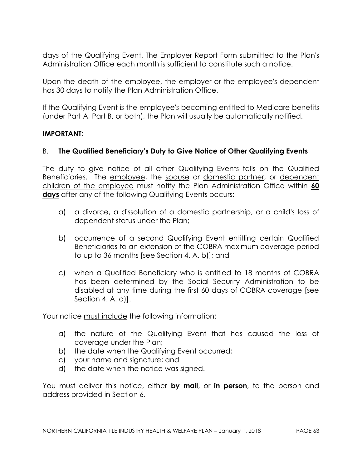days of the Qualifying Event. The Employer Report Form submitted to the Plan's Administration Office each month is sufficient to constitute such a notice.

Upon the death of the employee, the employer or the employee's dependent has 30 days to notify the Plan Administration Office.

If the Qualifying Event is the employee's becoming entitled to Medicare benefits (under Part A, Part B, or both), the Plan will usually be automatically notified.

## **IMPORTANT**:

## B. **The Qualified Beneficiary's Duty to Give Notice of Other Qualifying Events**

The duty to give notice of all other Qualifying Events falls on the Qualified Beneficiaries. The employee, the spouse or domestic partner, or dependent children of the employee must notify the Plan Administration Office within **60 days** after any of the following Qualifying Events occurs:

- a) a divorce, a dissolution of a domestic partnership, or a child's loss of dependent status under the Plan;
- b) occurrence of a second Qualifying Event entitling certain Qualified Beneficiaries to an extension of the COBRA maximum coverage period to up to 36 months [see Section 4. A. b)]; and
- c) when a Qualified Beneficiary who is entitled to 18 months of COBRA has been determined by the Social Security Administration to be disabled at any time during the first 60 days of COBRA coverage [see Section 4. A. a)].

Your notice must include the following information:

- a) the nature of the Qualifying Event that has caused the loss of coverage under the Plan;
- b) the date when the Qualifying Event occurred;
- c) your name and signature; and
- d) the date when the notice was signed.

You must deliver this notice, either **by mail**, or **in person**, to the person and address provided in Section 6.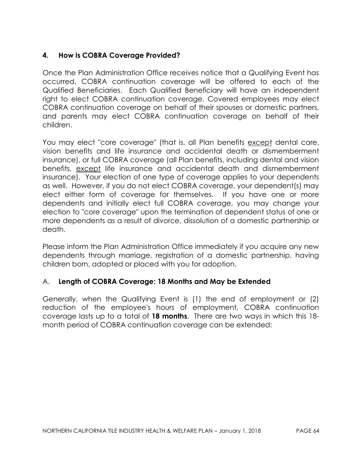# **4. How is COBRA Coverage Provided?**

Once the Plan Administration Office receives notice that a Qualifying Event has occurred, COBRA continuation coverage will be offered to each of the Qualified Beneficiaries. Each Qualified Beneficiary will have an independent right to elect COBRA continuation coverage. Covered employees may elect COBRA continuation coverage on behalf of their spouses or domestic partners, and parents may elect COBRA continuation coverage on behalf of their children.

You may elect "core coverage" (that is, all Plan benefits except dental care, vision benefits and life insurance and accidental death or dismemberment insurance), or full COBRA coverage (all Plan benefits, including dental and vision benefits, except life insurance and accidental death and dismemberment insurance). Your election of one type of coverage applies to your dependents as well. However, if you do not elect COBRA coverage, your dependent(s) may elect either form of coverage for themselves. If you have one or more dependents and initially elect full COBRA coverage, you may change your election to "core coverage" upon the termination of dependent status of one or more dependents as a result of divorce, dissolution of a domestic partnership or death.

Please inform the Plan Administration Office immediately if you acquire any new dependents through marriage, registration of a domestic partnership, having children born, adopted or placed with you for adoption.

# A. **Length of COBRA Coverage: 18 Months and May be Extended**

Generally, when the Qualifying Event is (1) the end of employment or (2) reduction of the employee's hours of employment, COBRA continuation coverage lasts up to a total of **18 months**. There are two ways in which this 18 month period of COBRA continuation coverage can be extended: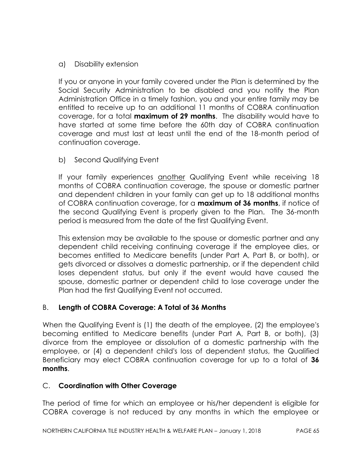# a) Disability extension

If you or anyone in your family covered under the Plan is determined by the Social Security Administration to be disabled and you notify the Plan Administration Office in a timely fashion, you and your entire family may be entitled to receive up to an additional 11 months of COBRA continuation coverage, for a total **maximum of 29 months**. The disability would have to have started at some time before the 60th day of COBRA continuation coverage and must last at least until the end of the 18-month period of continuation coverage.

b) Second Qualifying Event

If your family experiences another Qualifying Event while receiving 18 months of COBRA continuation coverage, the spouse or domestic partner and dependent children in your family can get up to 18 additional months of COBRA continuation coverage, for a **maximum of 36 months**, if notice of the second Qualifying Event is properly given to the Plan. The 36-month period is measured from the date of the first Qualifying Event.

This extension may be available to the spouse or domestic partner and any dependent child receiving continuing coverage if the employee dies, or becomes entitled to Medicare benefits (under Part A, Part B, or both), or gets divorced or dissolves a domestic partnership, or if the dependent child loses dependent status, but only if the event would have caused the spouse, domestic partner or dependent child to lose coverage under the Plan had the first Qualifying Event not occurred.

# B. **Length of COBRA Coverage: A Total of 36 Months**

When the Qualifying Event is (1) the death of the employee, (2) the employee's becoming entitled to Medicare benefits (under Part A, Part B, or both), (3) divorce from the employee or dissolution of a domestic partnership with the employee, or (4) a dependent child's loss of dependent status, the Qualified Beneficiary may elect COBRA continuation coverage for up to a total of **36 months**.

# C. **Coordination with Other Coverage**

The period of time for which an employee or his/her dependent is eligible for COBRA coverage is not reduced by any months in which the employee or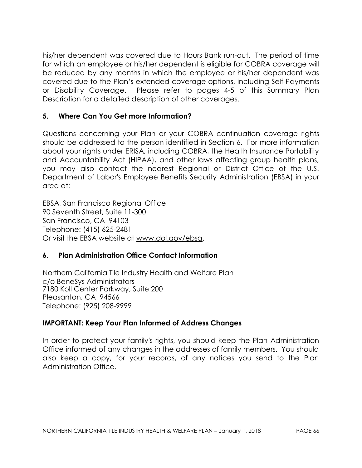his/her dependent was covered due to Hours Bank run-out. The period of time for which an employee or his/her dependent is eligible for COBRA coverage will be reduced by any months in which the employee or his/her dependent was covered due to the Plan's extended coverage options, including Self-Payments or Disability Coverage. Please refer to pages 4-5 of this Summary Plan Description for a detailed description of other coverages.

# **5. Where Can You Get more Information?**

Questions concerning your Plan or your COBRA continuation coverage rights should be addressed to the person identified in Section 6. For more information about your rights under ERISA, including COBRA, the Health Insurance Portability and Accountability Act (HIPAA), and other laws affecting group health plans, you may also contact the nearest Regional or District Office of the U.S. Department of Labor's Employee Benefits Security Administration (EBSA) in your area at:

EBSA, San Francisco Regional Office 90 Seventh Street, Suite 11-300 San Francisco, CA 94103 Telephone: (415) 625-2481 Or visit the EBSA website at www.dol.gov/ebsa.

# **6. Plan Administration Office Contact Information**

Northern California Tile Industry Health and Welfare Plan c/o BeneSys Administrators 7180 Koll Center Parkway, Suite 200 Pleasanton, CA 94566 Telephone: (925) 208-9999

# **IMPORTANT: Keep Your Plan Informed of Address Changes**

In order to protect your family's rights, you should keep the Plan Administration Office informed of any changes in the addresses of family members. You should also keep a copy, for your records, of any notices you send to the Plan Administration Office.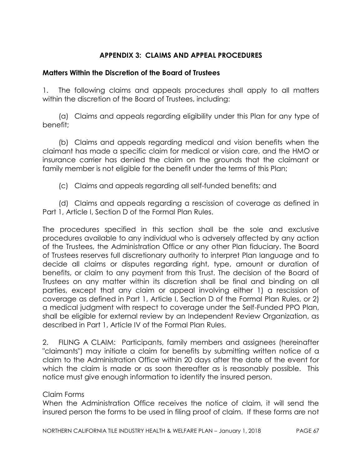# **APPENDIX 3: CLAIMS AND APPEAL PROCEDURES**

#### **Matters Within the Discretion of the Board of Trustees**

1. The following claims and appeals procedures shall apply to all matters within the discretion of the Board of Trustees, including:

(a) Claims and appeals regarding eligibility under this Plan for any type of benefit;

(b) Claims and appeals regarding medical and vision benefits when the claimant has made a specific claim for medical or vision care, and the HMO or insurance carrier has denied the claim on the grounds that the claimant or family member is not eligible for the benefit under the terms of this Plan;

(c) Claims and appeals regarding all self-funded benefits; and

(d) Claims and appeals regarding a rescission of coverage as defined in Part 1, Article I, Section D of the Formal Plan Rules.

The procedures specified in this section shall be the sole and exclusive procedures available to any individual who is adversely affected by any action of the Trustees, the Administration Office or any other Plan fiduciary. The Board of Trustees reserves full discretionary authority to interpret Plan language and to decide all claims or disputes regarding right, type, amount or duration of benefits, or claim to any payment from this Trust. The decision of the Board of Trustees on any matter within its discretion shall be final and binding on all parties, except that any claim or appeal involving either 1) a rescission of coverage as defined in Part 1, Article I, Section D of the Formal Plan Rules, or 2) a medical judgment with respect to coverage under the Self-Funded PPO Plan, shall be eligible for external review by an Independent Review Organization, as described in Part 1, Article IV of the Formal Plan Rules.

2. FILING A CLAIM: Participants, family members and assignees (hereinafter "claimants") may initiate a claim for benefits by submitting written notice of a claim to the Administration Office within 20 days after the date of the event for which the claim is made or as soon thereafter as is reasonably possible. This notice must give enough information to identify the insured person.

#### Claim Forms

When the Administration Office receives the notice of claim, it will send the insured person the forms to be used in filing proof of claim. If these forms are not

NORTHERN CALIFORNIA TILE INDUSTRY HEALTH & WELFARE PLAN – January 1, 2018 PAGE 67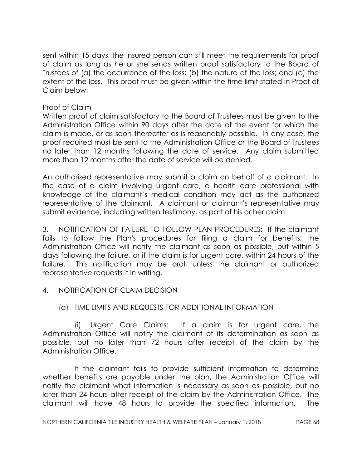sent within 15 days, the insured person can still meet the requirements for proof of claim as long as he or she sends written proof satisfactory to the Board of Trustees of (a) the occurrence of the loss; (b) the nature of the loss; and (c) the extent of the loss. This proof must be given within the time limit stated in Proof of Claim below.

#### Proof of Claim

Written proof of claim satisfactory to the Board of Trustees must be given to the Administration Office within 90 days after the date of the event for which the claim is made, or as soon thereafter as is reasonably possible. In any case, the proof required must be sent to the Administration Office or the Board of Trustees no later than 12 months following the date of service. Any claim submitted more than 12 months after the date of service will be denied.

An authorized representative may submit a claim on behalf of a claimant. In the case of a claim involving urgent care, a health care professional with knowledge of the claimant's medical condition may act as the authorized representative of the claimant. A claimant or claimant's representative may submit evidence, including written testimony, as part of his or her claim.

3. NOTIFICATION OF FAILURE TO FOLLOW PLAN PROCEDURES: If the claimant fails to follow the Plan's procedures for filing a claim for benefits, the Administration Office will notify the claimant as soon as possible, but within 5 days following the failure, or if the claim is for urgent care, within 24 hours of the failure. This notification may be oral, unless the claimant or authorized representative requests it in writing.

4. NOTIFICATION OF CLAIM DECISION

#### (a) TIME LIMITS AND REQUESTS FOR ADDITIONAL INFORMATION

(i) Urgent Care Claims: If a claim is for urgent care, the Administration Office will notify the claimant of its determination as soon as possible, but no later than 72 hours after receipt of the claim by the Administration Office.

If the claimant fails to provide sufficient information to determine whether benefits are payable under the plan, the Administration Office will notify the claimant what information is necessary as soon as possible, but no later than 24 hours after receipt of the claim by the Administration Office. The claimant will have 48 hours to provide the specified information. The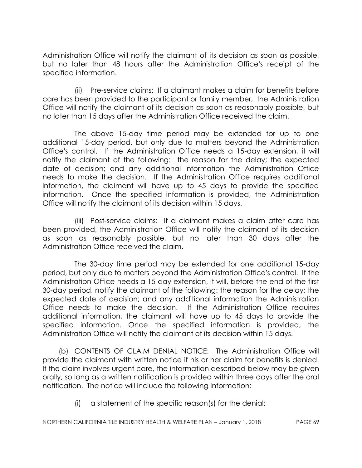Administration Office will notify the claimant of its decision as soon as possible, but no later than 48 hours after the Administration Office's receipt of the specified information.

(ii) Pre-service claims: If a claimant makes a claim for benefits before care has been provided to the participant or family member, the Administration Office will notify the claimant of its decision as soon as reasonably possible, but no later than 15 days after the Administration Office received the claim.

The above 15-day time period may be extended for up to one additional 15-day period, but only due to matters beyond the Administration Office's control. If the Administration Office needs a 15-day extension, it will notify the claimant of the following: the reason for the delay; the expected date of decision; and any additional information the Administration Office needs to make the decision. If the Administration Office requires additional information, the claimant will have up to 45 days to provide the specified information. Once the specified information is provided, the Administration Office will notify the claimant of its decision within 15 days.

(iii) Post-service claims: If a claimant makes a claim after care has been provided, the Administration Office will notify the claimant of its decision as soon as reasonably possible, but no later than 30 days after the Administration Office received the claim.

The 30-day time period may be extended for one additional 15-day period, but only due to matters beyond the Administration Office's control. If the Administration Office needs a 15-day extension, it will, before the end of the first 30-day period, notify the claimant of the following: the reason for the delay; the expected date of decision; and any additional information the Administration Office needs to make the decision. If the Administration Office requires additional information, the claimant will have up to 45 days to provide the specified information. Once the specified information is provided, the Administration Office will notify the claimant of its decision within 15 days.

(b) CONTENTS OF CLAIM DENIAL NOTICE: The Administration Office will provide the claimant with written notice if his or her claim for benefits is denied. If the claim involves urgent care, the information described below may be given orally, so long as a written notification is provided within three days after the oral notification. The notice will include the following information:

(i) a statement of the specific reason(s) for the denial;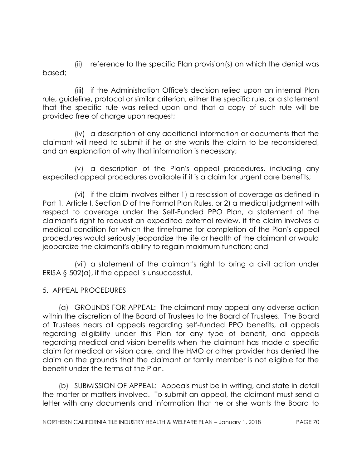(ii) reference to the specific Plan provision(s) on which the denial was based;

(iii) if the Administration Office's decision relied upon an internal Plan rule, guideline, protocol or similar criterion, either the specific rule, or a statement that the specific rule was relied upon and that a copy of such rule will be provided free of charge upon request;

(iv) a description of any additional information or documents that the claimant will need to submit if he or she wants the claim to be reconsidered, and an explanation of why that information is necessary;

(v) a description of the Plan's appeal procedures, including any expedited appeal procedures available if it is a claim for urgent care benefits;

(vi) if the claim involves either 1) a rescission of coverage as defined in Part 1, Article I, Section D of the Formal Plan Rules, or 2) a medical judgment with respect to coverage under the Self-Funded PPO Plan, a statement of the claimant's right to request an expedited external review, if the claim involves a medical condition for which the timeframe for completion of the Plan's appeal procedures would seriously jeopardize the life or health of the claimant or would jeopardize the claimant's ability to regain maximum function; and

(vii) a statement of the claimant's right to bring a civil action under ERISA § 502(a), if the appeal is unsuccessful.

# 5. APPEAL PROCEDURES

(a) GROUNDS FOR APPEAL: The claimant may appeal any adverse action within the discretion of the Board of Trustees to the Board of Trustees. The Board of Trustees hears all appeals regarding self-funded PPO benefits, all appeals regarding eligibility under this Plan for any type of benefit, and appeals regarding medical and vision benefits when the claimant has made a specific claim for medical or vision care, and the HMO or other provider has denied the claim on the grounds that the claimant or family member is not eligible for the benefit under the terms of the Plan.

(b) SUBMISSION OF APPEAL: Appeals must be in writing, and state in detail the matter or matters involved. To submit an appeal, the claimant must send a letter with any documents and information that he or she wants the Board to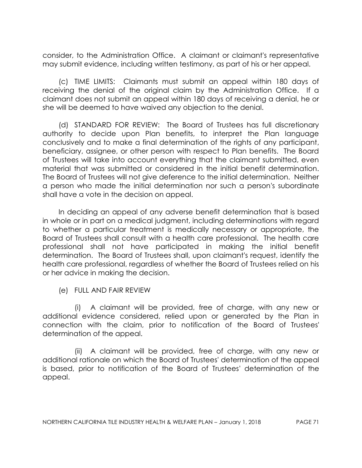consider, to the Administration Office. A claimant or claimant's representative may submit evidence, including written testimony, as part of his or her appeal.

(c) TIME LIMITS: Claimants must submit an appeal within 180 days of receiving the denial of the original claim by the Administration Office. If a claimant does not submit an appeal within 180 days of receiving a denial, he or she will be deemed to have waived any objection to the denial.

(d) STANDARD FOR REVIEW: The Board of Trustees has full discretionary authority to decide upon Plan benefits, to interpret the Plan language conclusively and to make a final determination of the rights of any participant, beneficiary, assignee, or other person with respect to Plan benefits. The Board of Trustees will take into account everything that the claimant submitted, even material that was submitted or considered in the initial benefit determination. The Board of Trustees will not give deference to the initial determination. Neither a person who made the initial determination nor such a person's subordinate shall have a vote in the decision on appeal.

In deciding an appeal of any adverse benefit determination that is based in whole or in part on a medical judgment, including determinations with regard to whether a particular treatment is medically necessary or appropriate, the Board of Trustees shall consult with a health care professional. The health care professional shall not have participated in making the initial benefit determination. The Board of Trustees shall, upon claimant's request, identify the health care professional, regardless of whether the Board of Trustees relied on his or her advice in making the decision.

(e) FULL AND FAIR REVIEW

(i) A claimant will be provided, free of charge, with any new or additional evidence considered, relied upon or generated by the Plan in connection with the claim, prior to notification of the Board of Trustees' determination of the appeal.

(ii) A claimant will be provided, free of charge, with any new or additional rationale on which the Board of Trustees' determination of the appeal is based, prior to notification of the Board of Trustees' determination of the appeal.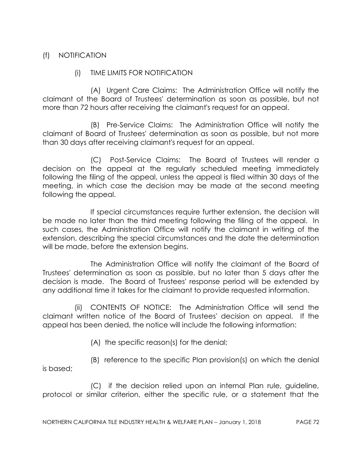### (f) NOTIFICATION

### (i) TIME LIMITS FOR NOTIFICATION

(A) Urgent Care Claims: The Administration Office will notify the claimant of the Board of Trustees' determination as soon as possible, but not more than 72 hours after receiving the claimant's request for an appeal.

(B) Pre-Service Claims: The Administration Office will notify the claimant of Board of Trustees' determination as soon as possible, but not more than 30 days after receiving claimant's request for an appeal.

(C) Post-Service Claims: The Board of Trustees will render a decision on the appeal at the regularly scheduled meeting immediately following the filing of the appeal, unless the appeal is filed within 30 days of the meeting, in which case the decision may be made at the second meeting following the appeal.

If special circumstances require further extension, the decision will be made no later than the third meeting following the filing of the appeal. In such cases, the Administration Office will notify the claimant in writing of the extension, describing the special circumstances and the date the determination will be made, before the extension begins.

The Administration Office will notify the claimant of the Board of Trustees' determination as soon as possible, but no later than 5 days after the decision is made. The Board of Trustees' response period will be extended by any additional time it takes for the claimant to provide requested information.

(ii) CONTENTS OF NOTICE: The Administration Office will send the claimant written notice of the Board of Trustees' decision on appeal. If the appeal has been denied, the notice will include the following information:

(A) the specific reason(s) for the denial;

(B) reference to the specific Plan provision(s) on which the denial

is based;

(C) if the decision relied upon an internal Plan rule, guideline, protocol or similar criterion, either the specific rule, or a statement that the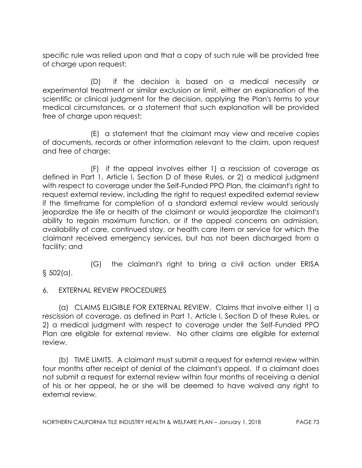specific rule was relied upon and that a copy of such rule will be provided free of charge upon request;

(D) if the decision is based on a medical necessity or experimental treatment or similar exclusion or limit, either an explanation of the scientific or clinical judgment for the decision, applying the Plan's terms to your medical circumstances, or a statement that such explanation will be provided free of charge upon request;

(E) a statement that the claimant may view and receive copies of documents, records or other information relevant to the claim, upon request and free of charge;

(F) if the appeal involves either 1) a rescission of coverage as defined in Part 1, Article I, Section D of these Rules, or 2) a medical judgment with respect to coverage under the Self-Funded PPO Plan, the claimant's right to request external review, including the right to request expedited external review if the timeframe for completion of a standard external review would seriously jeopardize the life or health of the claimant or would jeopardize the claimant's ability to regain maximum function, or if the appeal concerns an admission, availability of care, continued stay, or health care item or service for which the claimant received emergency services, but has not been discharged from a facility; and

(G) the claimant's right to bring a civil action under ERISA  $$502(a).$ 

6. EXTERNAL REVIEW PROCEDURES

(a) CLAIMS ELIGIBLE FOR EXTERNAL REVIEW. Claims that involve either 1) a rescission of coverage, as defined in Part 1, Article I, Section D of these Rules, or 2) a medical judgment with respect to coverage under the Self-Funded PPO Plan are eligible for external review. No other claims are eligible for external review.

(b) TIME LIMITS. A claimant must submit a request for external review within four months after receipt of denial of the claimant's appeal. If a claimant does not submit a request for external review within four months of receiving a denial of his or her appeal, he or she will be deemed to have waived any right to external review.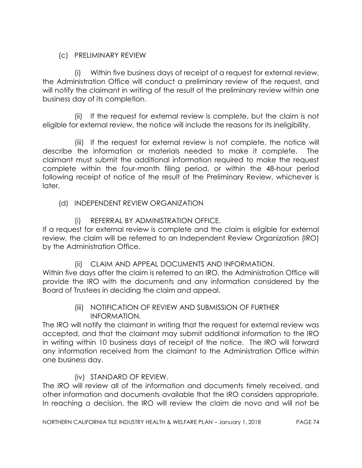# (c) PRELIMINARY REVIEW

(i) Within five business days of receipt of a request for external review, the Administration Office will conduct a preliminary review of the request, and will notify the claimant in writing of the result of the preliminary review within one business day of its completion.

(ii) If the request for external review is complete, but the claim is not eligible for external review, the notice will include the reasons for its ineligibility.

(iii) If the request for external review is not complete, the notice will describe the information or materials needed to make it complete. The claimant must submit the additional information required to make the request complete within the four-month filing period, or within the 48-hour period following receipt of notice of the result of the Preliminary Review, whichever is later.

- (d) INDEPENDENT REVIEW ORGANIZATION
	- (i) REFERRAL BY ADMINISTRATION OFFICE.

If a request for external review is complete and the claim is eligible for external review, the claim will be referred to an Independent Review Organization (IRO) by the Administration Office.

- (ii) CLAIM AND APPEAL DOCUMENTS AND INFORMATION. Within five days after the claim is referred to an IRO, the Administration Office will provide the IRO with the documents and any information considered by the Board of Trustees in deciding the claim and appeal.
	- (iii) NOTIFICATION OF REVIEW AND SUBMISSION OF FURTHER INFORMATION.

The IRO will notify the claimant in writing that the request for external review was accepted, and that the claimant may submit additional information to the IRO in writing within 10 business days of receipt of the notice. The IRO will forward any information received from the claimant to the Administration Office within one business day.

# (iv) STANDARD OF REVIEW.

The IRO will review all of the information and documents timely received, and other information and documents available that the IRO considers appropriate. In reaching a decision, the IRO will review the claim de novo and will not be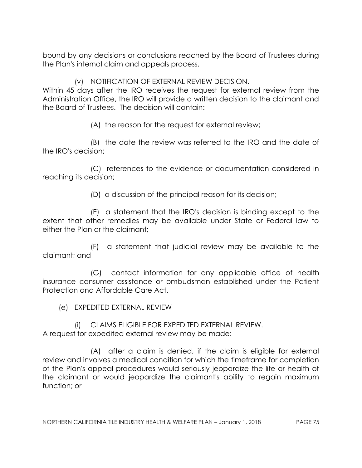bound by any decisions or conclusions reached by the Board of Trustees during the Plan's internal claim and appeals process.

### (v) NOTIFICATION OF EXTERNAL REVIEW DECISION.

Within 45 days after the IRO receives the request for external review from the Administration Office, the IRO will provide a written decision to the claimant and the Board of Trustees. The decision will contain:

(A) the reason for the request for external review;

(B) the date the review was referred to the IRO and the date of the IRO's decision;

(C) references to the evidence or documentation considered in reaching its decision;

(D) a discussion of the principal reason for its decision;

(E) a statement that the IRO's decision is binding except to the extent that other remedies may be available under State or Federal law to either the Plan or the claimant;

(F) a statement that judicial review may be available to the claimant; and

(G) contact information for any applicable office of health insurance consumer assistance or ombudsman established under the Patient Protection and Affordable Care Act.

(e) EXPEDITED EXTERNAL REVIEW

(i) CLAIMS ELIGIBLE FOR EXPEDITED EXTERNAL REVIEW. A request for expedited external review may be made:

(A) after a claim is denied, if the claim is eligible for external review and involves a medical condition for which the timeframe for completion of the Plan's appeal procedures would seriously jeopardize the life or health of the claimant or would jeopardize the claimant's ability to regain maximum function; or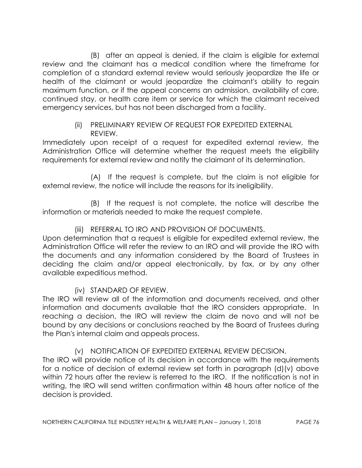(B) after an appeal is denied, if the claim is eligible for external review and the claimant has a medical condition where the timeframe for completion of a standard external review would seriously jeopardize the life or health of the claimant or would jeopardize the claimant's ability to regain maximum function, or if the appeal concerns an admission, availability of care, continued stay, or health care item or service for which the claimant received emergency services, but has not been discharged from a facility.

#### (ii) PRELIMINARY REVIEW OF REQUEST FOR EXPEDITED EXTERNAL REVIEW.

Immediately upon receipt of a request for expedited external review, the Administration Office will determine whether the request meets the eligibility requirements for external review and notify the claimant of its determination.

(A) If the request is complete, but the claim is not eligible for external review, the notice will include the reasons for its ineligibility.

(B) If the request is not complete, the notice will describe the information or materials needed to make the request complete.

# (iii) REFERRAL TO IRO AND PROVISION OF DOCUMENTS.

Upon determination that a request is eligible for expedited external review, the Administration Office will refer the review to an IRO and will provide the IRO with the documents and any information considered by the Board of Trustees in deciding the claim and/or appeal electronically, by fax, or by any other available expeditious method.

# (iv) STANDARD OF REVIEW.

The IRO will review all of the information and documents received, and other information and documents available that the IRO considers appropriate. In reaching a decision, the IRO will review the claim de novo and will not be bound by any decisions or conclusions reached by the Board of Trustees during the Plan's internal claim and appeals process.

# (v) NOTIFICATION OF EXPEDITED EXTERNAL REVIEW DECISION.

The IRO will provide notice of its decision in accordance with the requirements for a notice of decision of external review set forth in paragraph (d)(v) above within 72 hours after the review is referred to the IRO. If the notification is not in writing, the IRO will send written confirmation within 48 hours after notice of the decision is provided.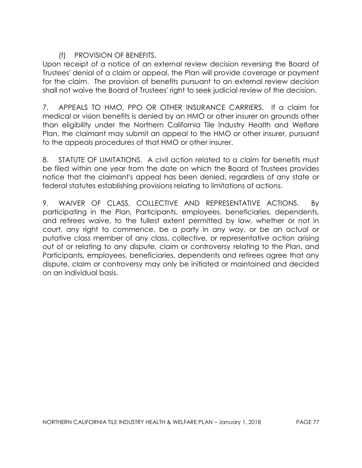### (f) PROVISION OF BENEFITS.

Upon receipt of a notice of an external review decision reversing the Board of Trustees' denial of a claim or appeal, the Plan will provide coverage or payment for the claim. The provision of benefits pursuant to an external review decision shall not waive the Board of Trustees' right to seek judicial review of the decision.

7. APPEALS TO HMO, PPO OR OTHER INSURANCE CARRIERS. If a claim for medical or vision benefits is denied by an HMO or other insurer on grounds other than eligibility under the Northern California Tile Industry Health and Welfare Plan, the claimant may submit an appeal to the HMO or other insurer, pursuant to the appeals procedures of that HMO or other insurer.

8. STATUTE OF LIMITATIONS. A civil action related to a claim for benefits must be filed within one year from the date on which the Board of Trustees provides notice that the claimant's appeal has been denied, regardless of any state or federal statutes establishing provisions relating to limitations of actions.

9. WAIVER OF CLASS, COLLECTIVE AND REPRESENTATIVE ACTIONS. By participating in the Plan, Participants, employees, beneficiaries, dependents, and retirees waive, to the fullest extent permitted by law, whether or not in court, any right to commence, be a party in any way, or be an actual or putative class member of any class, collective, or representative action arising out of or relating to any dispute, claim or controversy relating to the Plan, and Participants, employees, beneficiaries, dependents and retirees agree that any dispute, claim or controversy may only be initiated or maintained and decided on an individual basis.